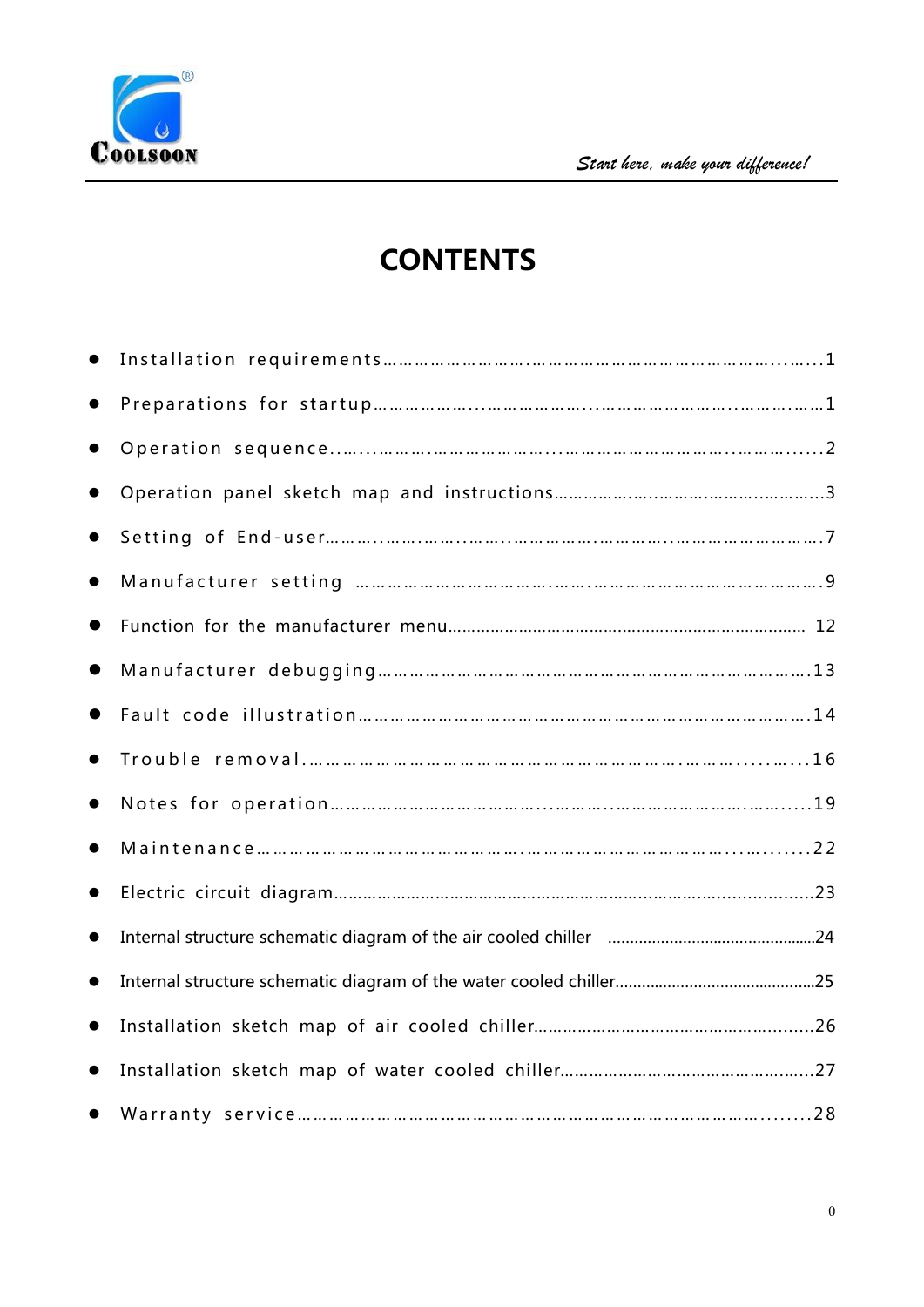

# **CONTENTS**

| $\bullet$ |  |
|-----------|--|
| $\bullet$ |  |
| $\bullet$ |  |
|           |  |
| $\bullet$ |  |
|           |  |
|           |  |
| $\bullet$ |  |
|           |  |
| $\bullet$ |  |
|           |  |
| $\bullet$ |  |
| $\bullet$ |  |
|           |  |
|           |  |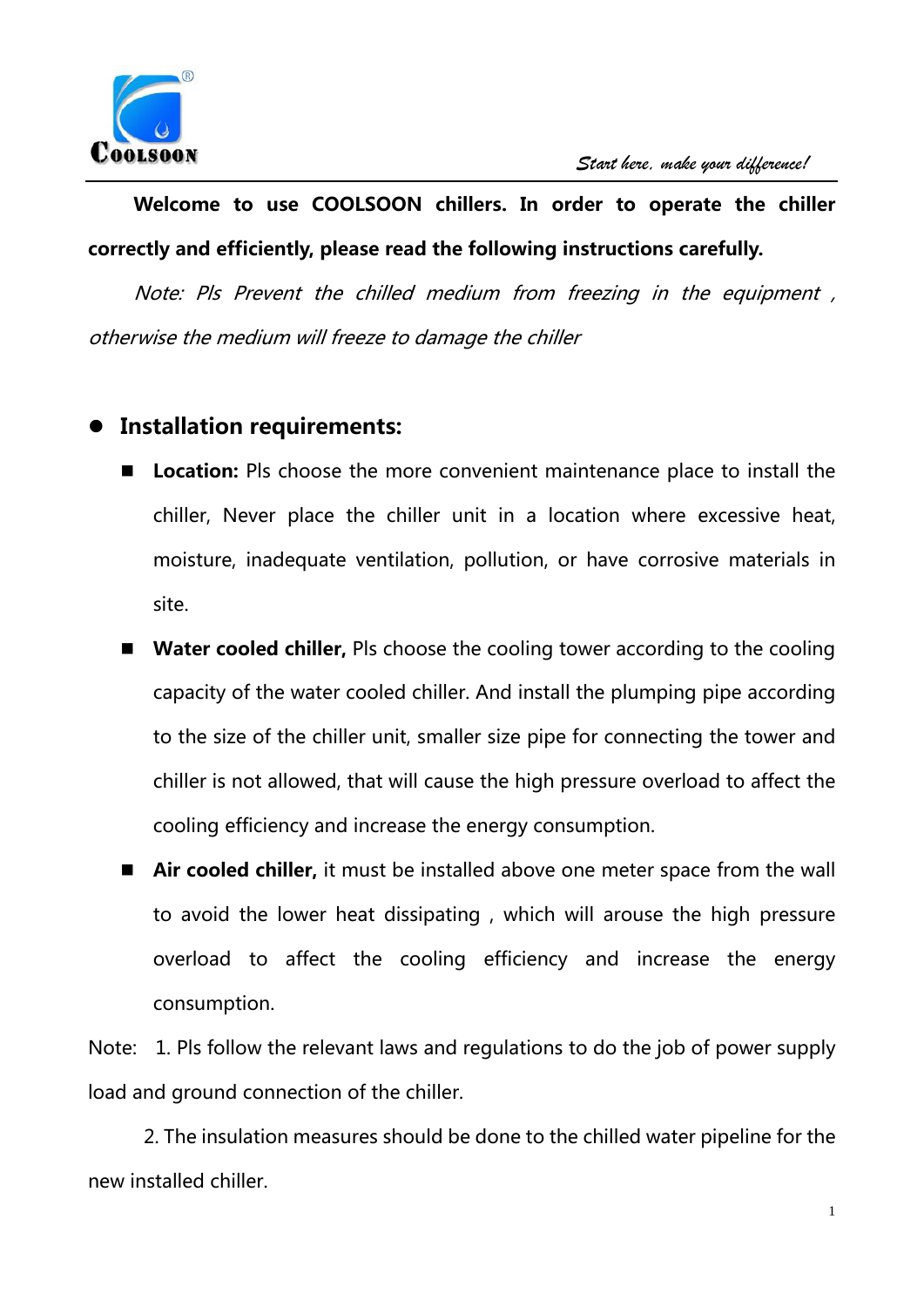

## **Welcome to use COOLSOON chillers. In order to operate the chiller correctly and efficiently, please read the following instructions carefully.**

Note: Pls Prevent the chilled medium from freezing in the equipment , otherwise the medium will freeze to damage the chiller

### **Installation requirements:**

- **Location:** Pls choose the more convenient maintenance place to install the chiller, Never place the chiller unit in a location where excessive heat, moisture, inadequate ventilation, pollution, or have corrosive materials in site.
- Water cooled chiller, Pls choose the cooling tower according to the cooling capacity of the water cooled chiller. And install the plumping pipe according to the size of the chiller unit, smaller size pipe for connecting the tower and chiller is not allowed, that will cause the high pressure overload to affect the cooling efficiency and increase the energy consumption.
- **Air cooled chiller,** it must be installed above one meter space from the wall to avoid the lower heat dissipating , which will arouse the high pressure overload to affect the cooling efficiency and increase the energy consumption.

Note: 1. Pls follow the relevant laws and regulations to do the job of power supply load and ground connection of the chiller.

2. The insulation measures should be done to the chilled water pipeline for the new installed chiller.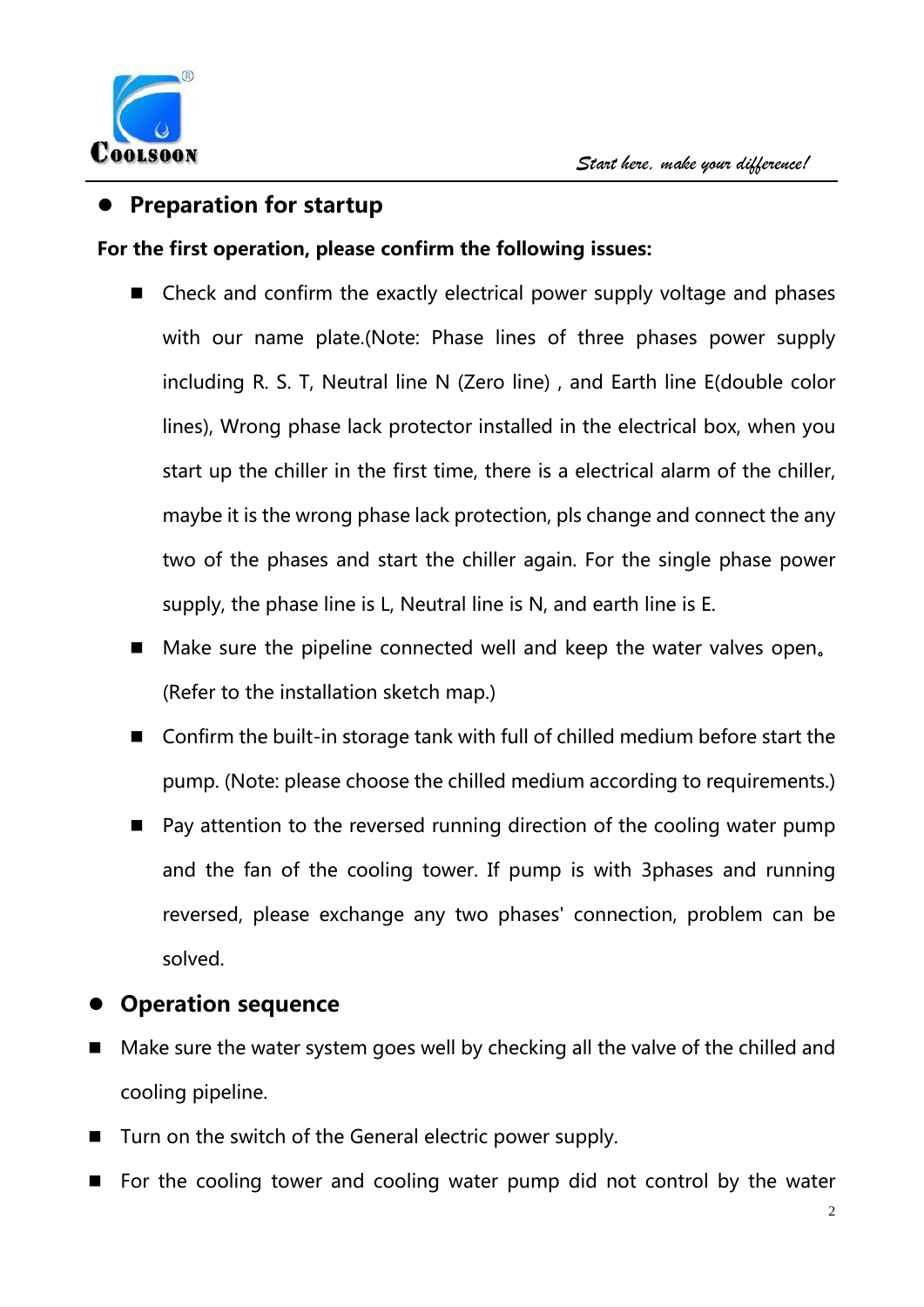

### **Preparation for startup**

#### **For the first operation, please confirm the following issues:**

- $\blacksquare$  Check and confirm the exactly electrical power supply voltage and phases with our name plate.(Note: Phase lines of three phases power supply including R. S. T, Neutral line N (Zero line), and Earth line E(double color lines), Wrong phase lack protector installed in the electrical box, when you start up the chiller in the first time, there is a electrical alarm of the chiller, maybe it is the wrong phase lack protection, pls change and connect the any two of the phases and start the chiller again. For the single phase power supply, the phase line is L, Neutral line is N, and earth line is E.
- Make sure the pipeline connected well and keep the water valves open. (Refer to the installation sketch map.)
- $\blacksquare$  Confirm the built-in storage tank with full of chilled medium before start the pump. (Note: please choose the chilled medium according to requirements.)
- Pay attention to the reversed running direction of the cooling water pump and the fan of the cooling tower. If pump is with 3phases and running reversed, please exchange any two phases' connection, problem can be solved.

### **Operation sequence**

- $\blacksquare$  Make sure the water system goes well by checking all the valve of the chilled and cooling pipeline.
- Turn on the switch of the General electric power supply.
- For the cooling tower and cooling water pump did not control by the water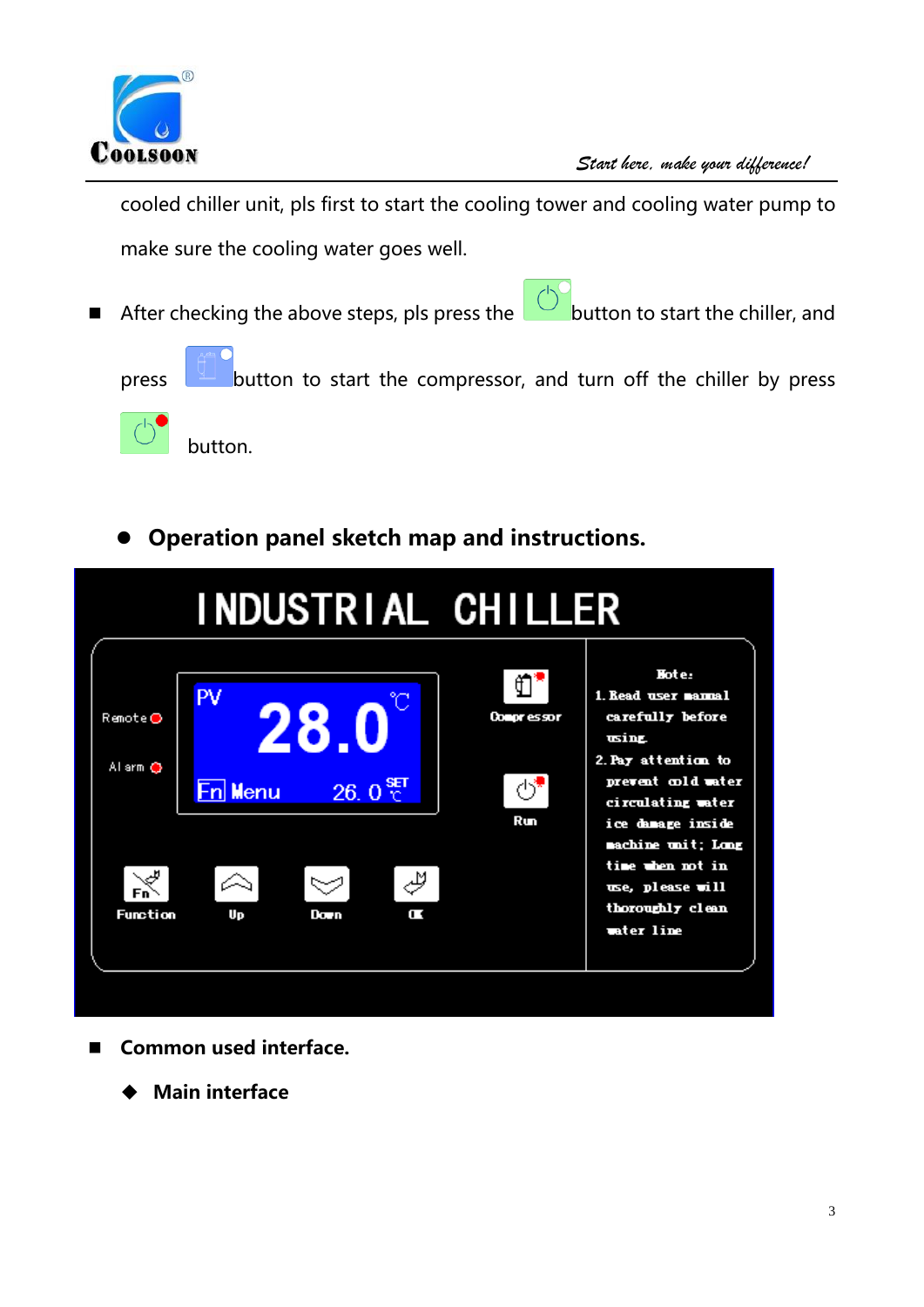

cooled chiller unit, pls first to start the cooling tower and cooling water pump to make sure the cooling water goes well.

After checking the above steps, pls press the **button to start the chiller**, and



press **button to start the compressor, and turn off the chiller by press** 



button.

**Operation panel sketch map and instructions.** 

|                                           |                            |                                       |   | INDUSTRIAL CHILLER      |                                                                                                                                                                                                                                   |
|-------------------------------------------|----------------------------|---------------------------------------|---|-------------------------|-----------------------------------------------------------------------------------------------------------------------------------------------------------------------------------------------------------------------------------|
| Remote⊙<br>Al arm C<br>الليبا<br>Function | PV<br><b>En Menu</b><br>Up | 28.0<br>$26.0 \frac{95}{C}$<br>Day in | Ē | Compressor<br>42<br>Run | Hote:<br>1. Read user namal<br>carefully before<br>usima<br>2. Pay attention to<br>prevent cold water<br>circulating water<br>ice damage inside<br>machine unit; Long<br>time when not in<br>use, please will<br>thoroughly clean |
|                                           |                            |                                       |   |                         | water line                                                                                                                                                                                                                        |

- Common used interface.
	- **Main interface**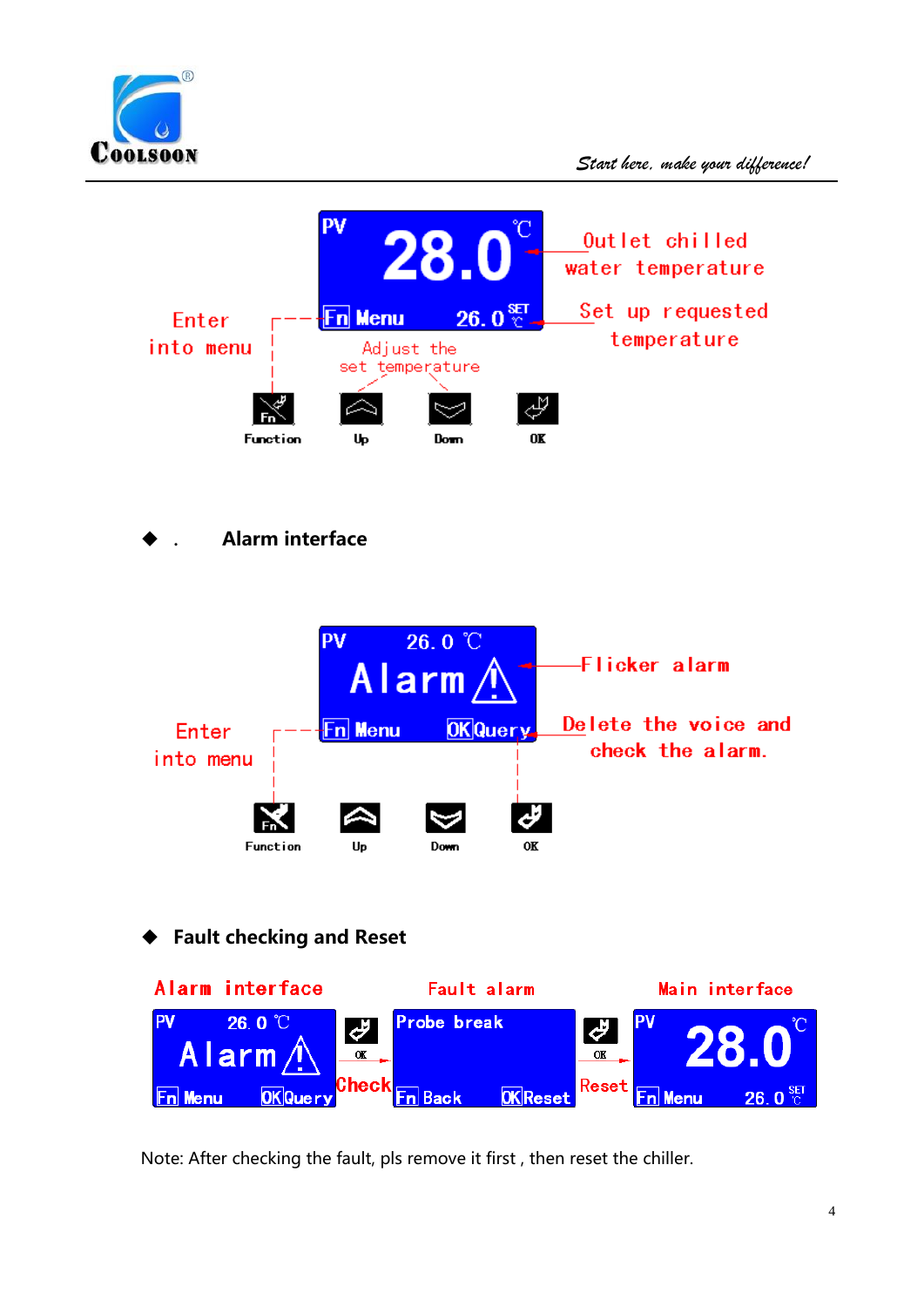



. **Alarm interface** 



**Fault checking and Reset** 



Note: After checking the fault, pls remove it first, then reset the chiller.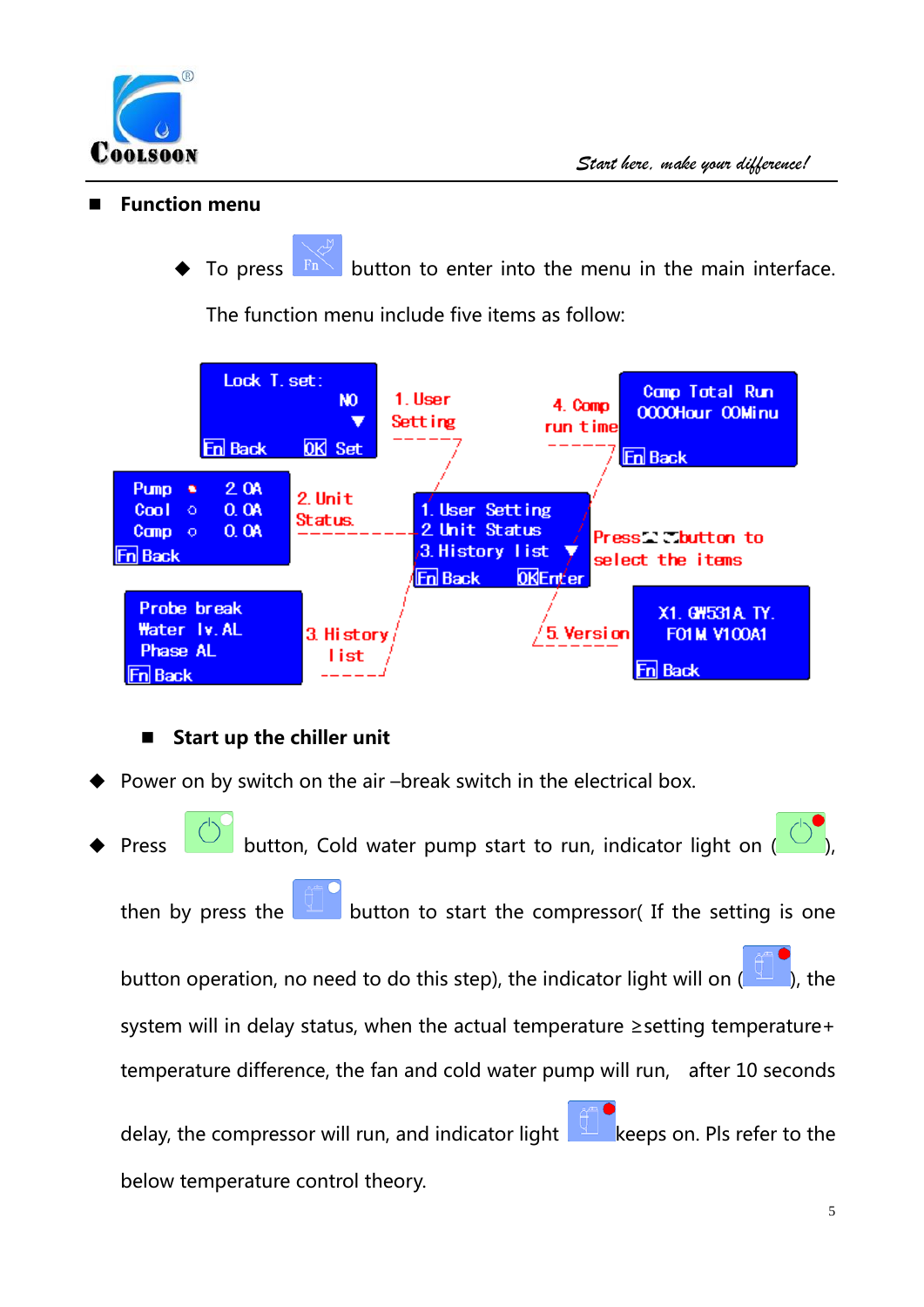

#### **Function menu**

To press  $\mathbb{F}^n$  button to enter into the menu in the main interface.

The function menu include five items as follow:



### **Start up the chiller unit**

- Power on by switch on the air-break switch in the electrical box.
- Press  $\Box$  button, Cold water pump start to run, indicator light on ( then by press the **button to start the compressor** (If the setting is one button operation, no need to do this step), the indicator light will on  $($ system will in delay status, when the actual temperature ≥setting temperature+ temperature difference, the fan and cold water pump will run, after 10 seconds delay, the compressor will run, and indicator light  $\frac{1}{2}$  keeps on. Pls refer to the below temperature control theory.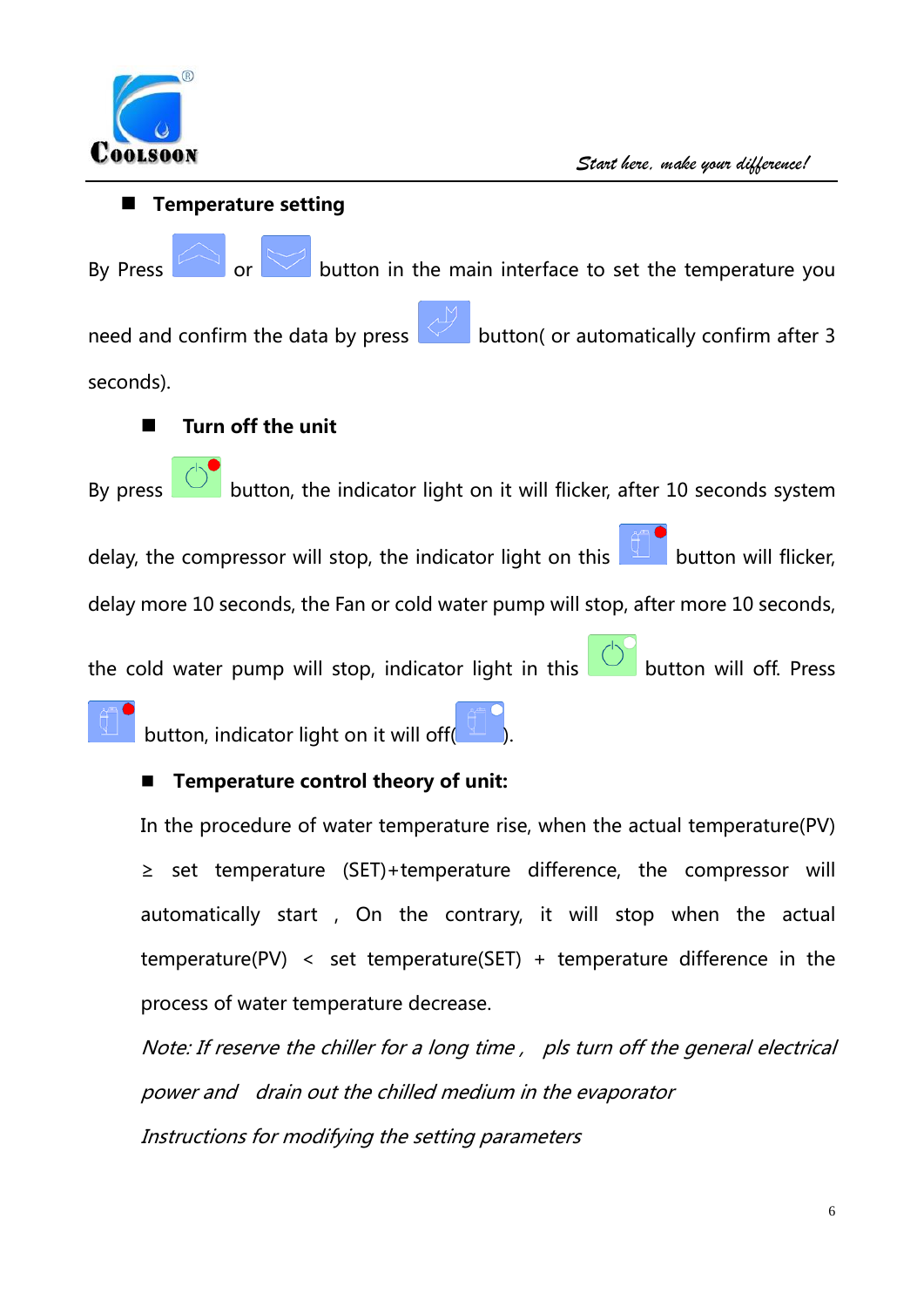

 **Temperature setting** By Press  $\sim$  or button in the main interface to set the temperature you need and confirm the data by press  $\sim$  button( or automatically confirm after 3 seconds). **Turn off the unit** By press  $\overline{\mathbb{C}}$  button, the indicator light on it will flicker, after 10 seconds system delay, the compressor will stop, the indicator light on this  $\Box$  button will flicker, delay more 10 seconds, the Fan or cold water pump will stop, after more 10 seconds, the cold water pump will stop, indicator light in this  $\Box$  button will off. Press button, indicator light on it will off(

### **Temperature control theory of unit:**

In the procedure of water temperature rise, when the actual temperature(PV) ≥ set temperature (SET)+temperature difference, the compressor will automatically start , On the contrary, it will stop when the actual temperature(PV) < set temperature(SET) + temperature difference in the process of water temperature decrease.

Note: If reserve the chiller for a long time, pls turn off the general electrical power and drain out the chilled medium in the evaporator Instructions for modifying the setting parameters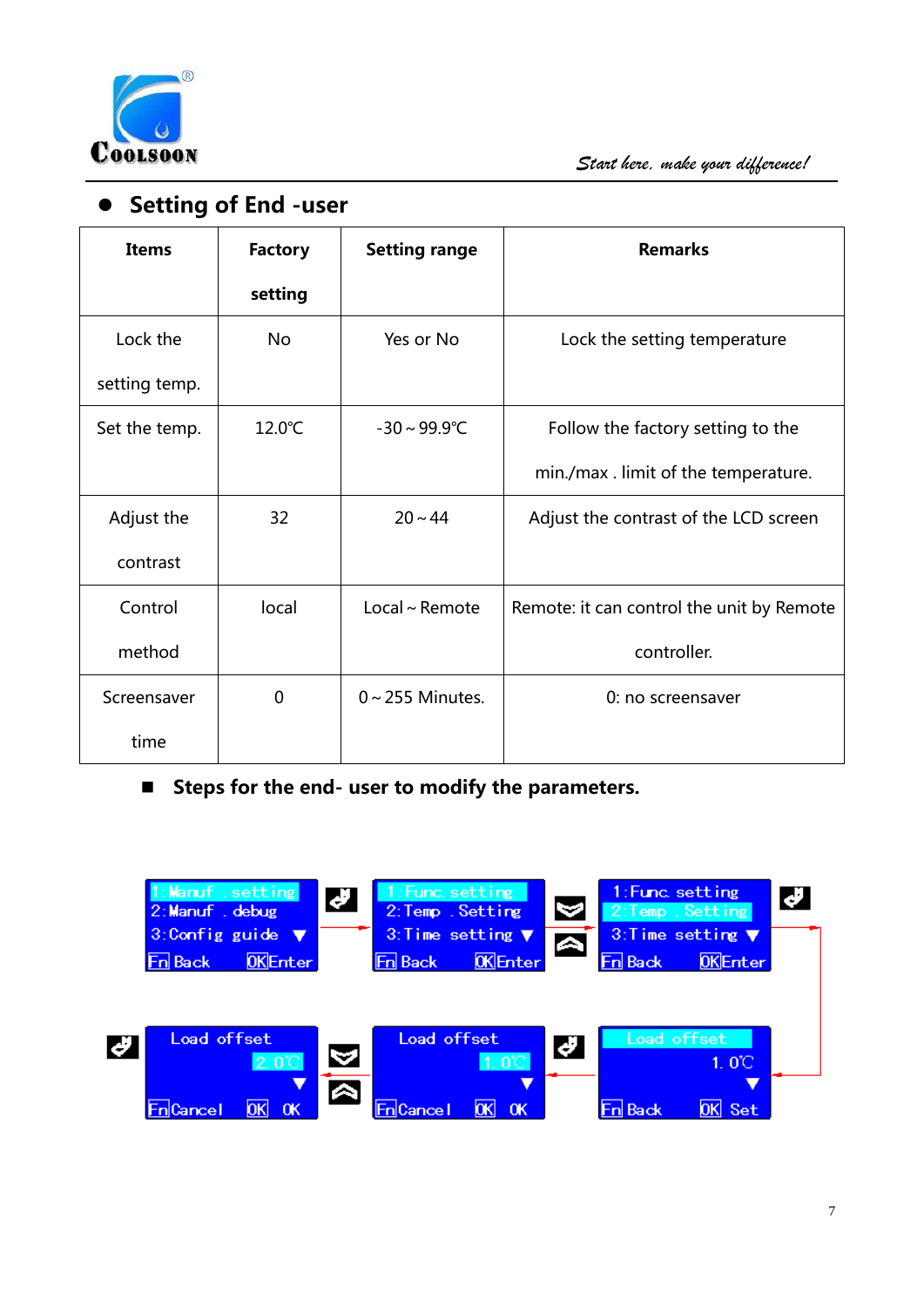

## **•** Setting of End -user

| <b>Items</b>  | <b>Factory</b> | <b>Setting range</b>     | <b>Remarks</b>                            |
|---------------|----------------|--------------------------|-------------------------------------------|
|               | setting        |                          |                                           |
| Lock the      | <b>No</b>      | Yes or No                | Lock the setting temperature              |
| setting temp. |                |                          |                                           |
| Set the temp. | 12.0°C         | $-30 \sim 99.9^{\circ}C$ | Follow the factory setting to the         |
|               |                |                          | min./max.limit of the temperature.        |
| Adjust the    | 32             | $20 - 44$                | Adjust the contrast of the LCD screen     |
| contrast      |                |                          |                                           |
| Control       | local          | Local ~ Remote           | Remote: it can control the unit by Remote |
| method        |                |                          | controller.                               |
| Screensaver   | $\mathbf 0$    | $0 \sim 255$ Minutes.    | 0: no screensaver                         |
| time          |                |                          |                                           |

■ Steps for the end- user to modify the parameters.

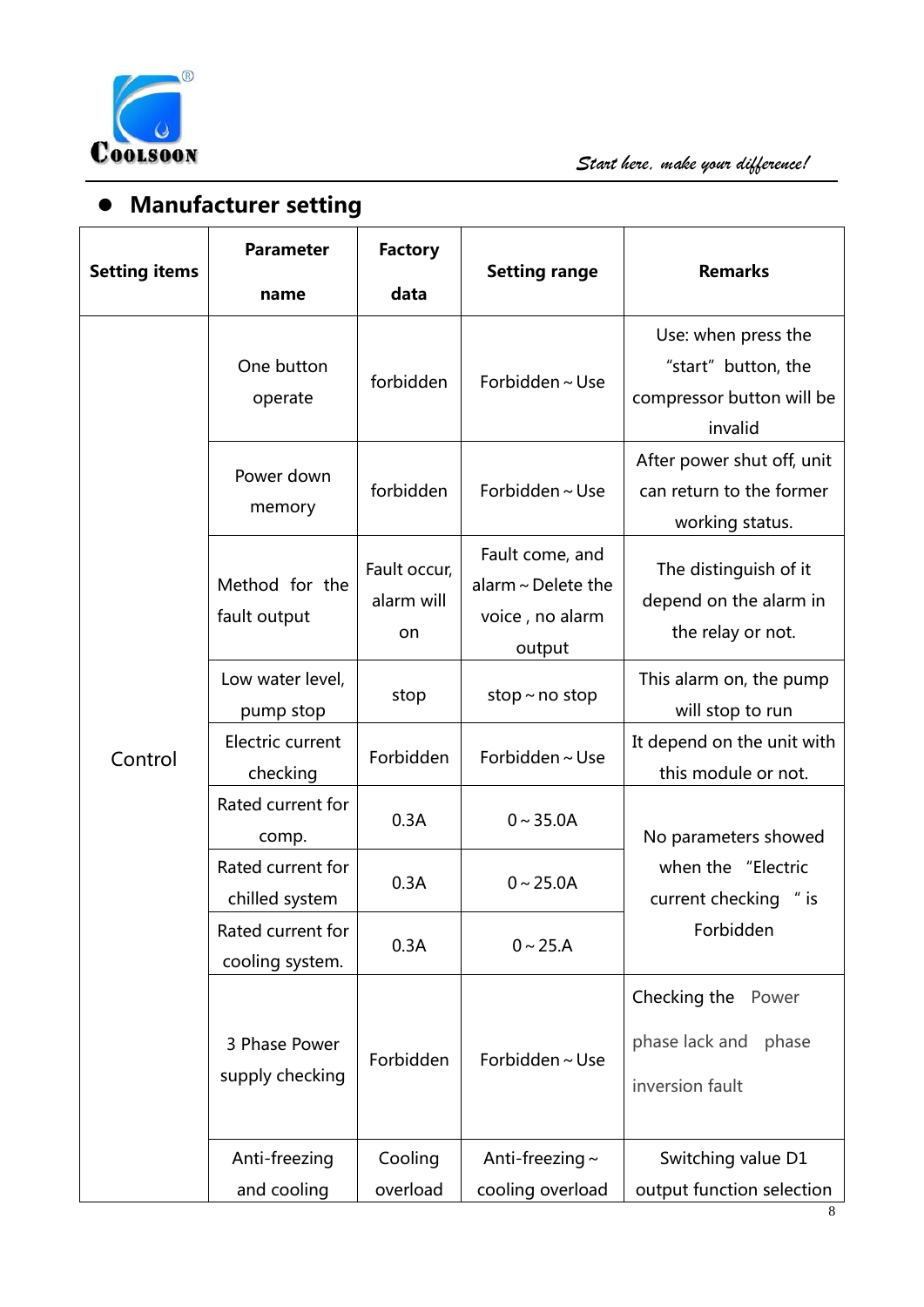

# **Manufacturer setting**

|                      | <b>Parameter</b>                     | <b>Factory</b>                   |                                                                         | <b>Remarks</b>                                                                     |  |
|----------------------|--------------------------------------|----------------------------------|-------------------------------------------------------------------------|------------------------------------------------------------------------------------|--|
| <b>Setting items</b> | name                                 | data                             | <b>Setting range</b>                                                    |                                                                                    |  |
|                      | One button<br>operate                | forbidden                        | Forbidden $\sim$ Use                                                    | Use: when press the<br>"start" button, the<br>compressor button will be<br>invalid |  |
|                      | Power down<br>memory                 | forbidden                        | Forbidden ~ Use                                                         | After power shut off, unit<br>can return to the former<br>working status.          |  |
|                      | Method for the<br>fault output       | Fault occur,<br>alarm will<br>on | Fault come, and<br>alarm $\sim$ Delete the<br>voice, no alarm<br>output | The distinguish of it<br>depend on the alarm in<br>the relay or not.               |  |
|                      | Low water level,<br>pump stop        | stop                             | stop $\sim$ no stop                                                     | This alarm on, the pump<br>will stop to run                                        |  |
| Control              | Electric current<br>checking         | Forbidden                        | Forbidden~Use                                                           | It depend on the unit with<br>this module or not.                                  |  |
|                      | Rated current for<br>comp.           | 0.3A                             | $0 - 35.0A$                                                             | No parameters showed                                                               |  |
|                      | Rated current for<br>chilled system  | 0.3A                             | $0 - 25.0A$                                                             | when the "Electric<br>current checking " is                                        |  |
|                      | Rated current for<br>cooling system. | 0.3A                             | $0 \sim 25.A$                                                           | Forbidden                                                                          |  |
|                      | 3 Phase Power<br>supply checking     | Forbidden                        | Forbidden~Use                                                           | Checking the<br>Power<br>phase lack and<br>phase<br>inversion fault                |  |
|                      | Anti-freezing<br>and cooling         | Cooling<br>overload              | Anti-freezing $\sim$<br>cooling overload                                | Switching value D1<br>output function selection                                    |  |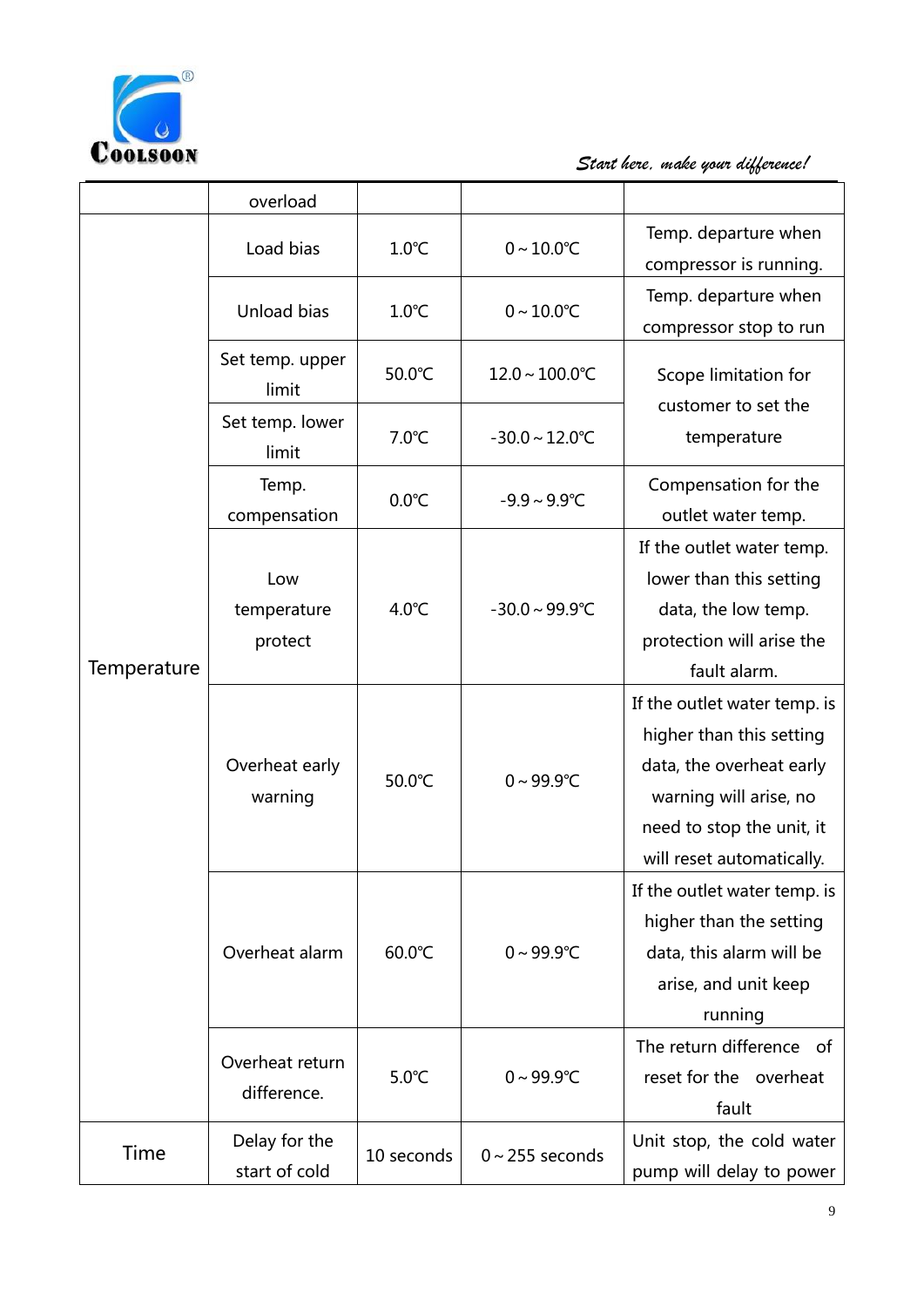

COOLSOON Start here, make your difference!

|             | overload                       |                 |                            |                                                                                                                                                                          |
|-------------|--------------------------------|-----------------|----------------------------|--------------------------------------------------------------------------------------------------------------------------------------------------------------------------|
|             | Load bias                      | $1.0^{\circ}$ C | $0 - 10.0$ °C              | Temp. departure when<br>compressor is running.                                                                                                                           |
|             | Unload bias                    | $1.0^{\circ}$ C | $0 - 10.0$ °C              | Temp. departure when<br>compressor stop to run                                                                                                                           |
|             | Set temp. upper<br>limit       | 50.0°C          | $12.0 - 100.0^{\circ}C$    | Scope limitation for                                                                                                                                                     |
|             | Set temp. lower<br>limit       | $7.0^{\circ}$ C | $-30.0 \sim 12.0^{\circ}C$ | customer to set the<br>temperature                                                                                                                                       |
|             | Temp.<br>compensation          | $0.0^{\circ}C$  | $-9.9 \sim 9.9^{\circ}C$   | Compensation for the<br>outlet water temp.                                                                                                                               |
| Temperature | Low<br>temperature<br>protect  | $4.0^{\circ}$ C | $-30.0 \sim 99.9^{\circ}C$ | If the outlet water temp.<br>lower than this setting<br>data, the low temp.<br>protection will arise the<br>fault alarm.                                                 |
|             | Overheat early<br>warning      | 50.0°C          | $0 - 99.9$ °C              | If the outlet water temp. is<br>higher than this setting<br>data, the overheat early<br>warning will arise, no<br>need to stop the unit, it<br>will reset automatically. |
|             | Overheat alarm                 | 60.0°C          | $0 - 99.9^{\circ}C$        | If the outlet water temp. is<br>higher than the setting<br>data, this alarm will be<br>arise, and unit keep<br>running                                                   |
|             | Overheat return<br>difference. | $5.0^{\circ}$ C | $0 - 99.9^{\circ}C$        | The return difference of<br>reset for the overheat<br>fault                                                                                                              |
| Time        | Delay for the<br>start of cold | 10 seconds      | $0 \sim 255$ seconds       | Unit stop, the cold water<br>pump will delay to power                                                                                                                    |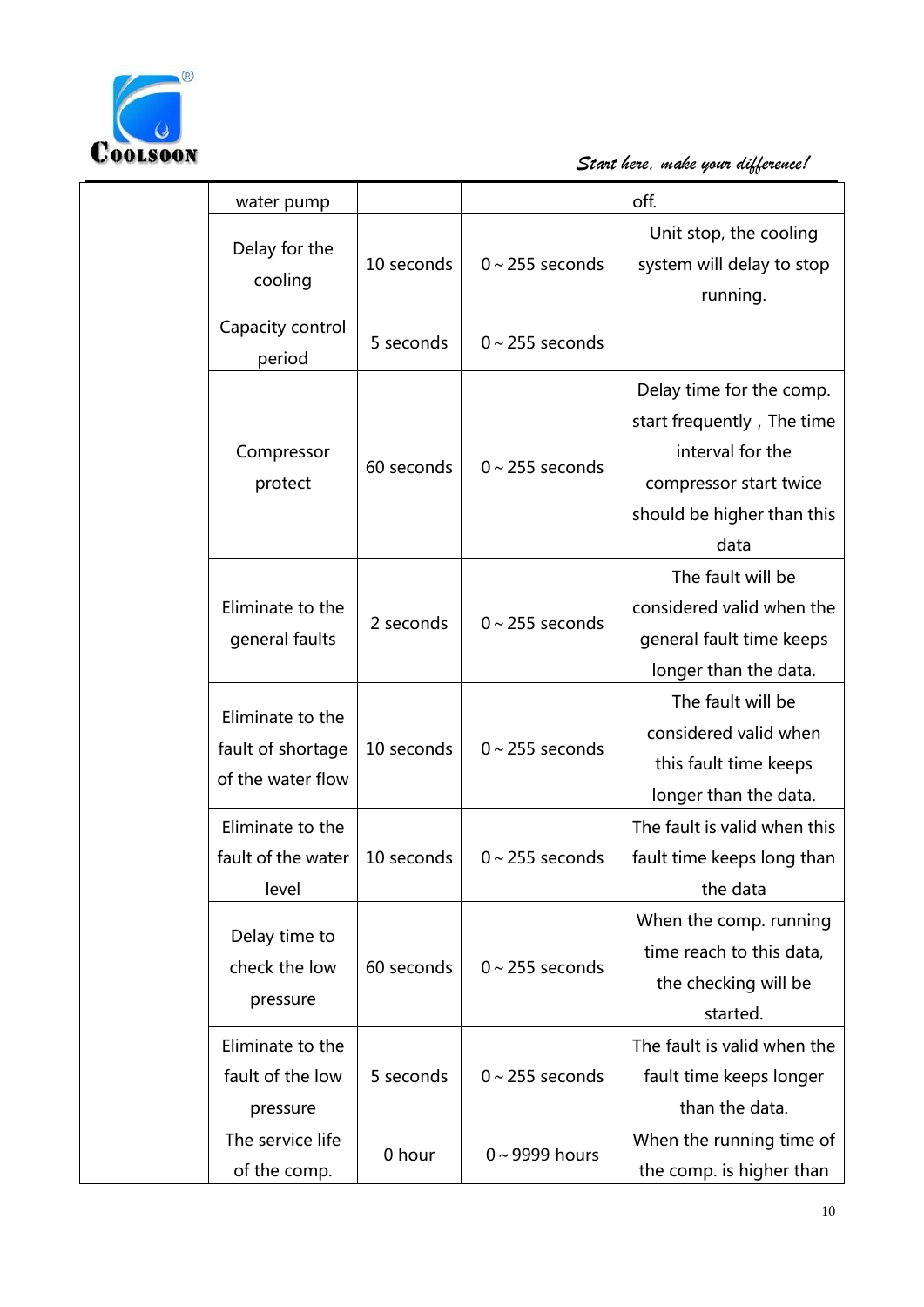

COOLSOON START here, make your difference!

| water pump                                                 |            |                      | off.                                                                                                                                       |
|------------------------------------------------------------|------------|----------------------|--------------------------------------------------------------------------------------------------------------------------------------------|
| Delay for the<br>cooling                                   | 10 seconds | $0 \sim 255$ seconds | Unit stop, the cooling<br>system will delay to stop<br>running.                                                                            |
| Capacity control<br>period                                 | 5 seconds  | $0 \sim 255$ seconds |                                                                                                                                            |
| Compressor<br>protect                                      | 60 seconds | $0 \sim 255$ seconds | Delay time for the comp.<br>start frequently, The time<br>interval for the<br>compressor start twice<br>should be higher than this<br>data |
| Eliminate to the<br>general faults                         | 2 seconds  | $0 \sim 255$ seconds | The fault will be<br>considered valid when the<br>general fault time keeps<br>longer than the data.                                        |
| Eliminate to the<br>fault of shortage<br>of the water flow | 10 seconds | $0 \sim 255$ seconds | The fault will be<br>considered valid when<br>this fault time keeps<br>longer than the data.                                               |
| Eliminate to the<br>fault of the water<br>level            | 10 seconds | $0 \sim 255$ seconds | The fault is valid when this<br>fault time keeps long than<br>the data                                                                     |
| Delay time to<br>check the low<br>pressure                 | 60 seconds | $0 \sim 255$ seconds | When the comp. running<br>time reach to this data,<br>the checking will be<br>started.                                                     |
| Eliminate to the<br>fault of the low<br>pressure           | 5 seconds  | $0 \sim 255$ seconds | The fault is valid when the<br>fault time keeps longer<br>than the data.                                                                   |
| The service life<br>of the comp.                           | 0 hour     | $0 \sim 9999$ hours  | When the running time of<br>the comp. is higher than                                                                                       |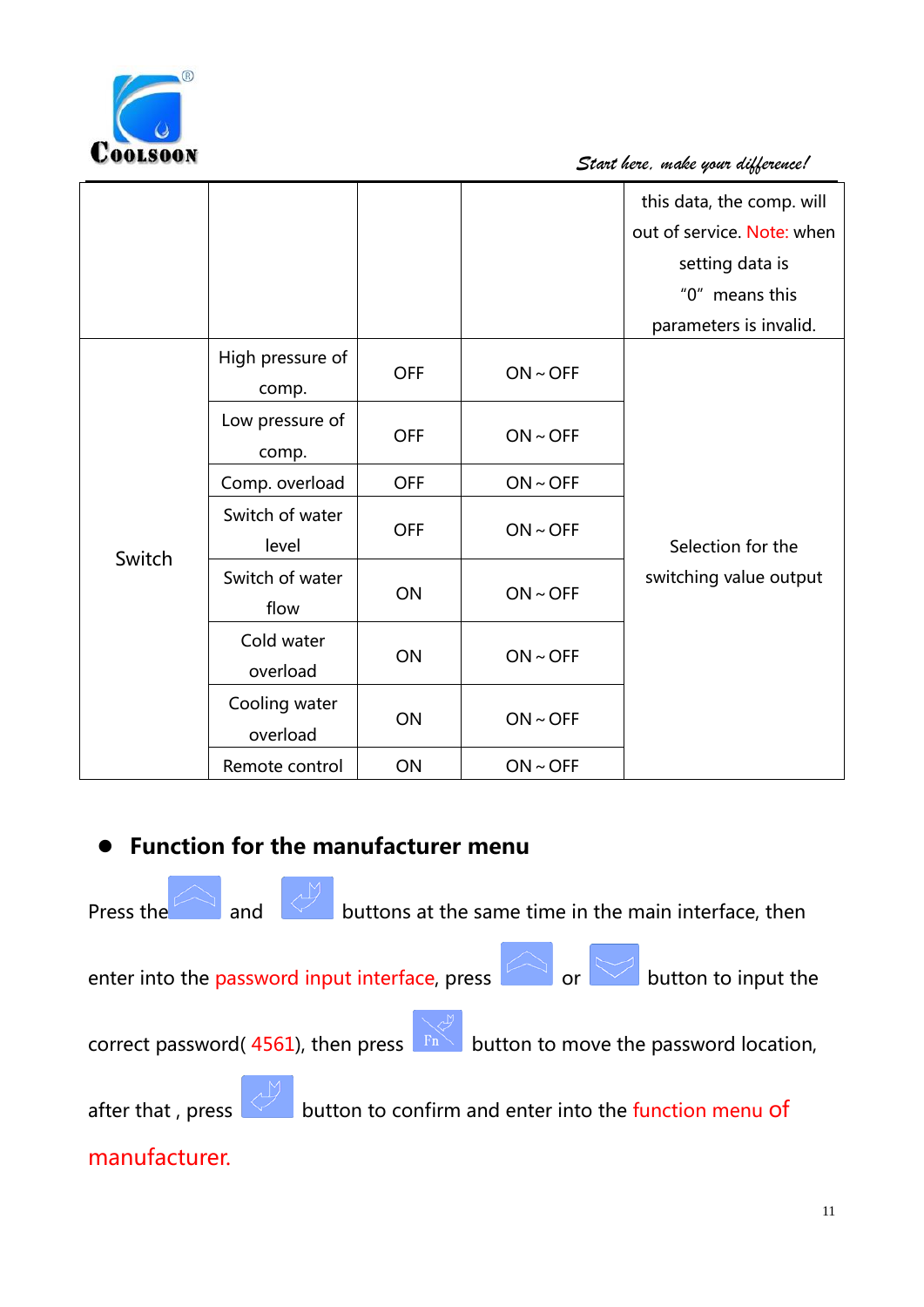

|        |                           |            |          | this data, the comp. will<br>out of service. Note: when<br>setting data is<br>"0" means this<br>parameters is invalid. |
|--------|---------------------------|------------|----------|------------------------------------------------------------------------------------------------------------------------|
|        | High pressure of<br>comp. | <b>OFF</b> | ON ~ OFF |                                                                                                                        |
|        | Low pressure of<br>comp.  | <b>OFF</b> | ON ~ OFF |                                                                                                                        |
|        | Comp. overload            | <b>OFF</b> | ON ~ OFF |                                                                                                                        |
| Switch | Switch of water<br>level  | <b>OFF</b> | ON ~ OFF | Selection for the                                                                                                      |
|        | Switch of water<br>flow   | ON         | ON ~ OFF | switching value output                                                                                                 |
|        | Cold water<br>overload    | ON         | ON ~ OFF |                                                                                                                        |
|        | Cooling water<br>overload | ON         | ON ~ OFF |                                                                                                                        |
|        | Remote control            | ON         | ON ~ OFF |                                                                                                                        |

## **Function for the manufacturer menu**

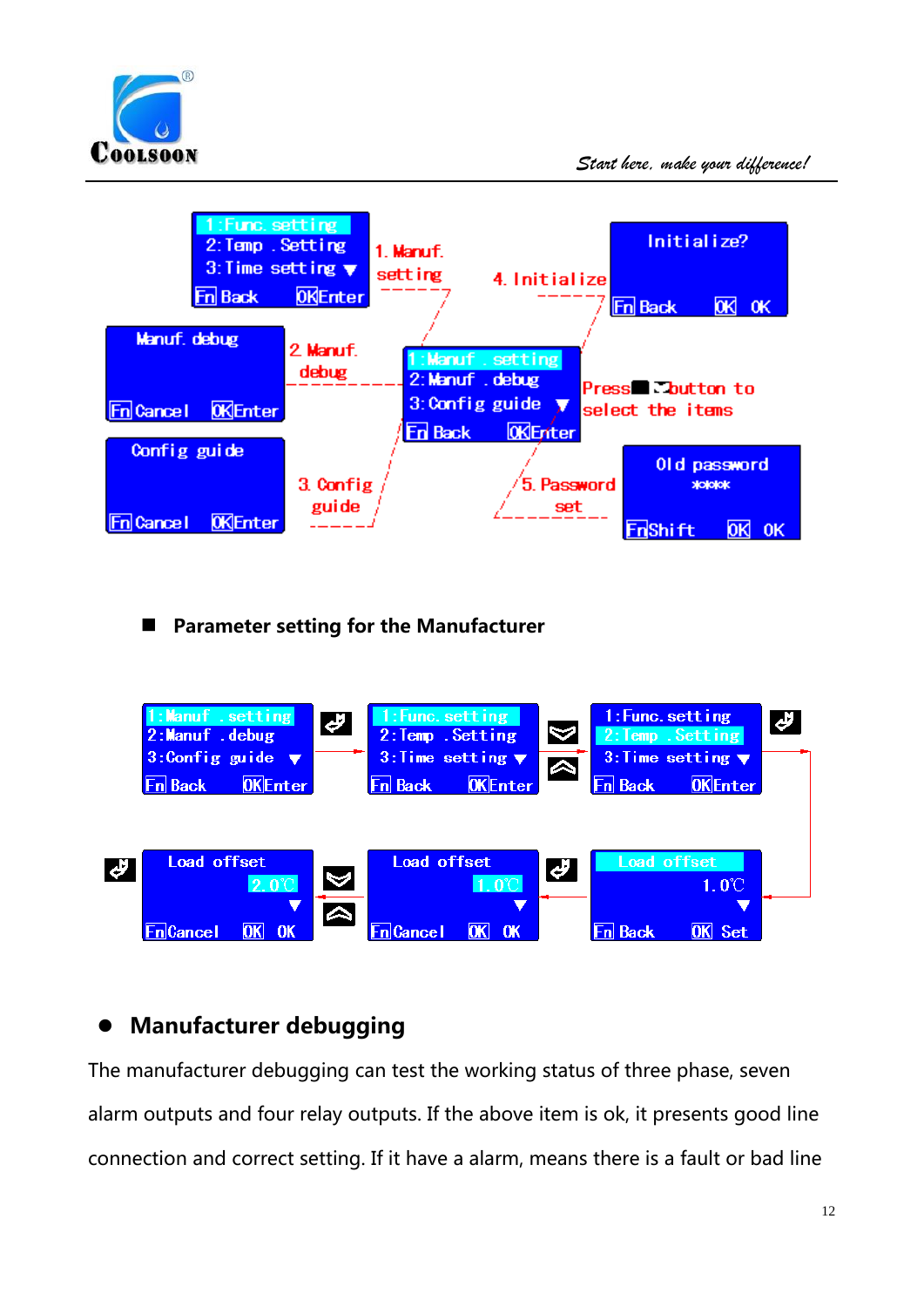



### **Parameter setting for the Manufacturer**



## **Manufacturer debugging**

The manufacturer debugging can test the working status of three phase, seven alarm outputs and four relay outputs. If the above item is ok, it presents good line connection and correct setting. If it have a alarm, means there is a fault or bad line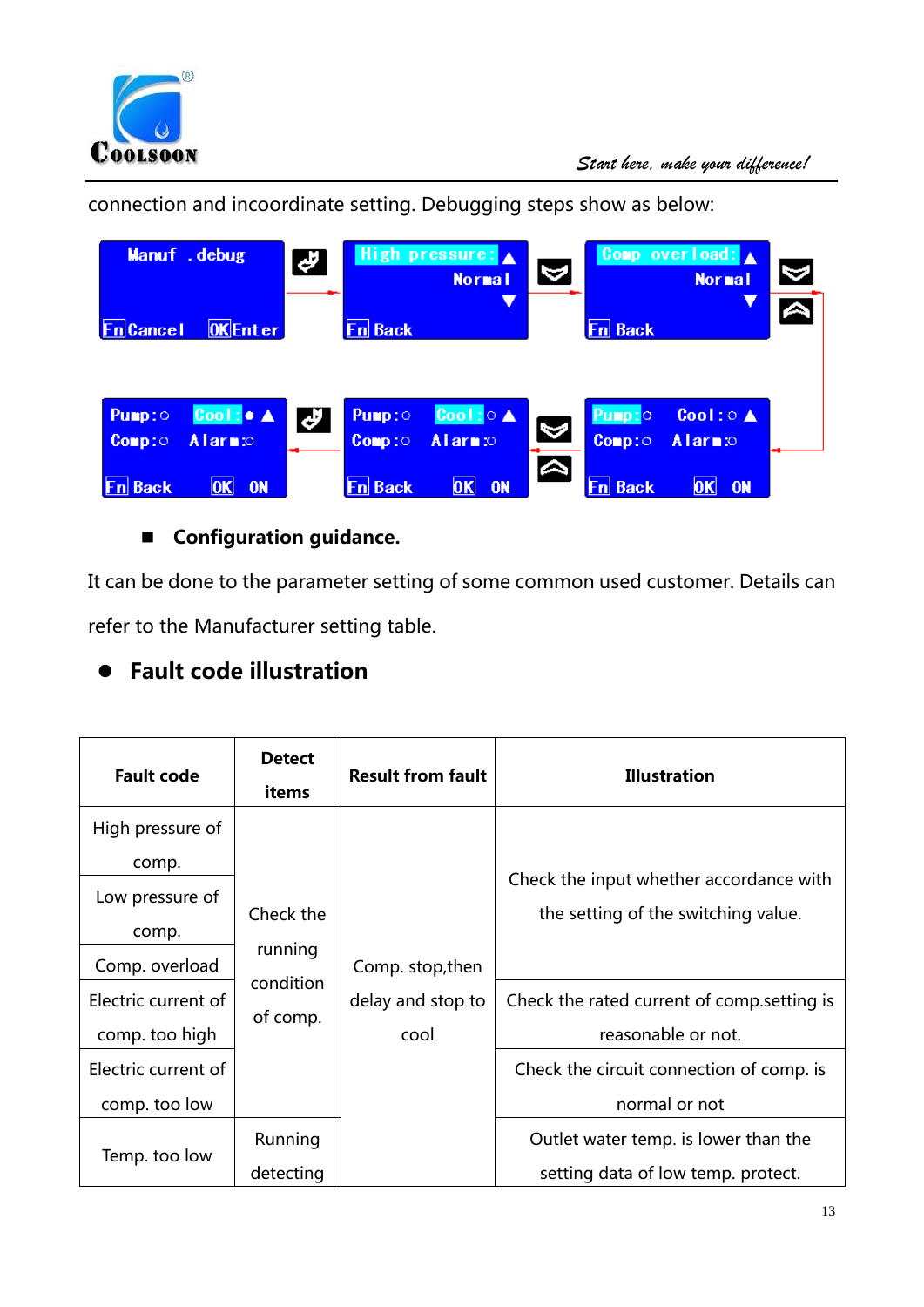

connection and incoordinate setting. Debugging steps show as below:

|                  | Manuf .debug                     | Ł,                  |                | High pressure: A<br><b>Normal</b>   | A                     |                | Comp overload: $\triangle$<br><b>Normal</b> | $\blacktriangledown$        |
|------------------|----------------------------------|---------------------|----------------|-------------------------------------|-----------------------|----------------|---------------------------------------------|-----------------------------|
| <b>Fn</b> Cancel | <b>OKEnter</b>                   |                     | <b>Fn</b> Back | ▼                                   |                       | <b>Fn</b> Back |                                             | $\overline{\blacktriangle}$ |
|                  |                                  |                     |                |                                     |                       |                |                                             |                             |
| Pump:            | Cool: $\bullet$ $\blacktriangle$ | $\boldsymbol{\phi}$ | Pump:0         | $\text{Cool}: \circ \blacktriangle$ | $\blacktriangleright$ | Pump:0         | Cool: $0 \triangle$                         |                             |
| $Comp: \odot$    | <b>Alarm</b> <sub>c</sub>        |                     | Comp:          | Alarm <sub>so</sub>                 |                       | $Comp: \circ$  | <b>Alarm</b> <sub>10</sub>                  |                             |
| <b>Fn Back</b>   | 0K <br><b>ON</b>                 |                     | <b>Fn</b> Back | 0K <br><b>ON</b>                    | $\blacktriangle$      | <b>Fn Back</b> | 0K <br><b>ON</b>                            |                             |

### **Configuration guidance.**

It can be done to the parameter setting of some common used customer. Details can refer to the Manufacturer setting table.

## **Fault code illustration**

| <b>Fault code</b>         | <b>Detect</b><br>items | <b>Result from fault</b> | <b>Illustration</b>                                                            |                   |                                             |
|---------------------------|------------------------|--------------------------|--------------------------------------------------------------------------------|-------------------|---------------------------------------------|
| High pressure of<br>comp. |                        |                          |                                                                                |                   |                                             |
| Low pressure of<br>comp.  | Check the              |                          | Check the input whether accordance with<br>the setting of the switching value. |                   |                                             |
| Comp. overload            | running                | Comp. stop, then         |                                                                                |                   |                                             |
| Electric current of       | condition<br>of comp.  |                          |                                                                                | delay and stop to | Check the rated current of comp. setting is |
| comp. too high            |                        | cool                     | reasonable or not.                                                             |                   |                                             |
| Electric current of       |                        |                          | Check the circuit connection of comp. is                                       |                   |                                             |
| comp. too low             |                        |                          | normal or not                                                                  |                   |                                             |
| Temp. too low             | Running                |                          | Outlet water temp. is lower than the                                           |                   |                                             |
|                           | detecting              |                          | setting data of low temp. protect.                                             |                   |                                             |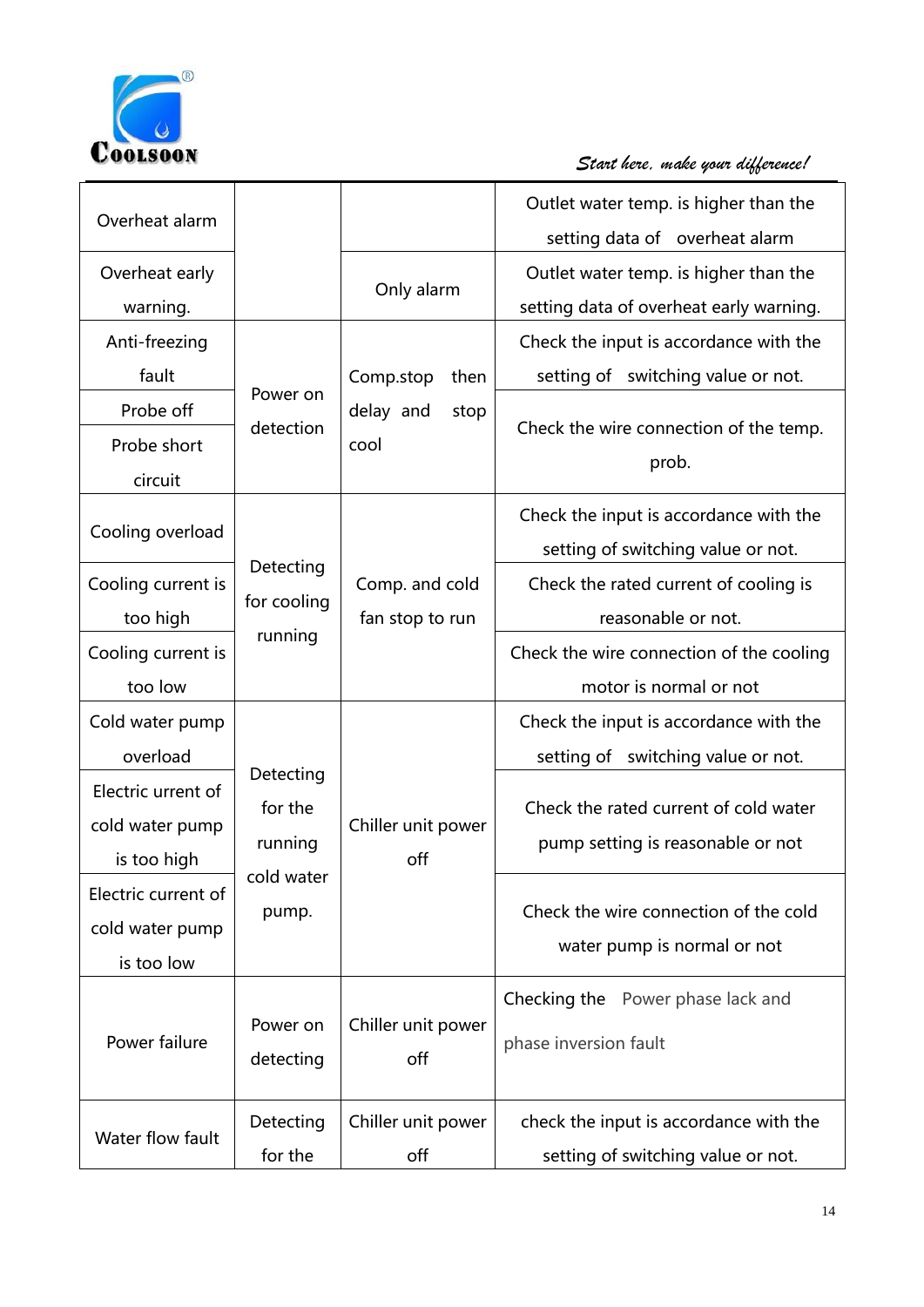

| Overheat alarm      |             |                    | Outlet water temp. is higher than the<br>setting data of overheat alarm |
|---------------------|-------------|--------------------|-------------------------------------------------------------------------|
|                     |             |                    |                                                                         |
| Overheat early      |             | Only alarm         | Outlet water temp. is higher than the                                   |
| warning.            |             |                    | setting data of overheat early warning.                                 |
| Anti-freezing       |             |                    | Check the input is accordance with the                                  |
| fault               |             | Comp.stop<br>then  | setting of switching value or not.                                      |
| Probe off           | Power on    | delay and<br>stop  |                                                                         |
| Probe short         | detection   | cool               | Check the wire connection of the temp.                                  |
| circuit             |             |                    | prob.                                                                   |
|                     |             |                    | Check the input is accordance with the                                  |
| Cooling overload    |             |                    |                                                                         |
|                     | Detecting   |                    | setting of switching value or not.                                      |
| Cooling current is  | for cooling | Comp. and cold     | Check the rated current of cooling is                                   |
| too high            | running     | fan stop to run    | reasonable or not.                                                      |
| Cooling current is  |             |                    | Check the wire connection of the cooling                                |
| too low             |             |                    | motor is normal or not                                                  |
| Cold water pump     |             |                    | Check the input is accordance with the                                  |
| overload            |             |                    | setting of switching value or not.                                      |
| Electric urrent of  | Detecting   |                    |                                                                         |
| cold water pump     | for the     | Chiller unit power | Check the rated current of cold water                                   |
| is too high         | running     | off                | pump setting is reasonable or not                                       |
| Electric current of | cold water  |                    |                                                                         |
|                     | pump.       |                    | Check the wire connection of the cold                                   |
| cold water pump     |             |                    | water pump is normal or not                                             |
| is too low          |             |                    |                                                                         |
|                     |             |                    | Checking the Power phase lack and                                       |
| Power failure       | Power on    | Chiller unit power | phase inversion fault                                                   |
|                     | detecting   | off                |                                                                         |
|                     |             |                    |                                                                         |
| Water flow fault    | Detecting   | Chiller unit power | check the input is accordance with the                                  |
|                     | for the     | off                | setting of switching value or not.                                      |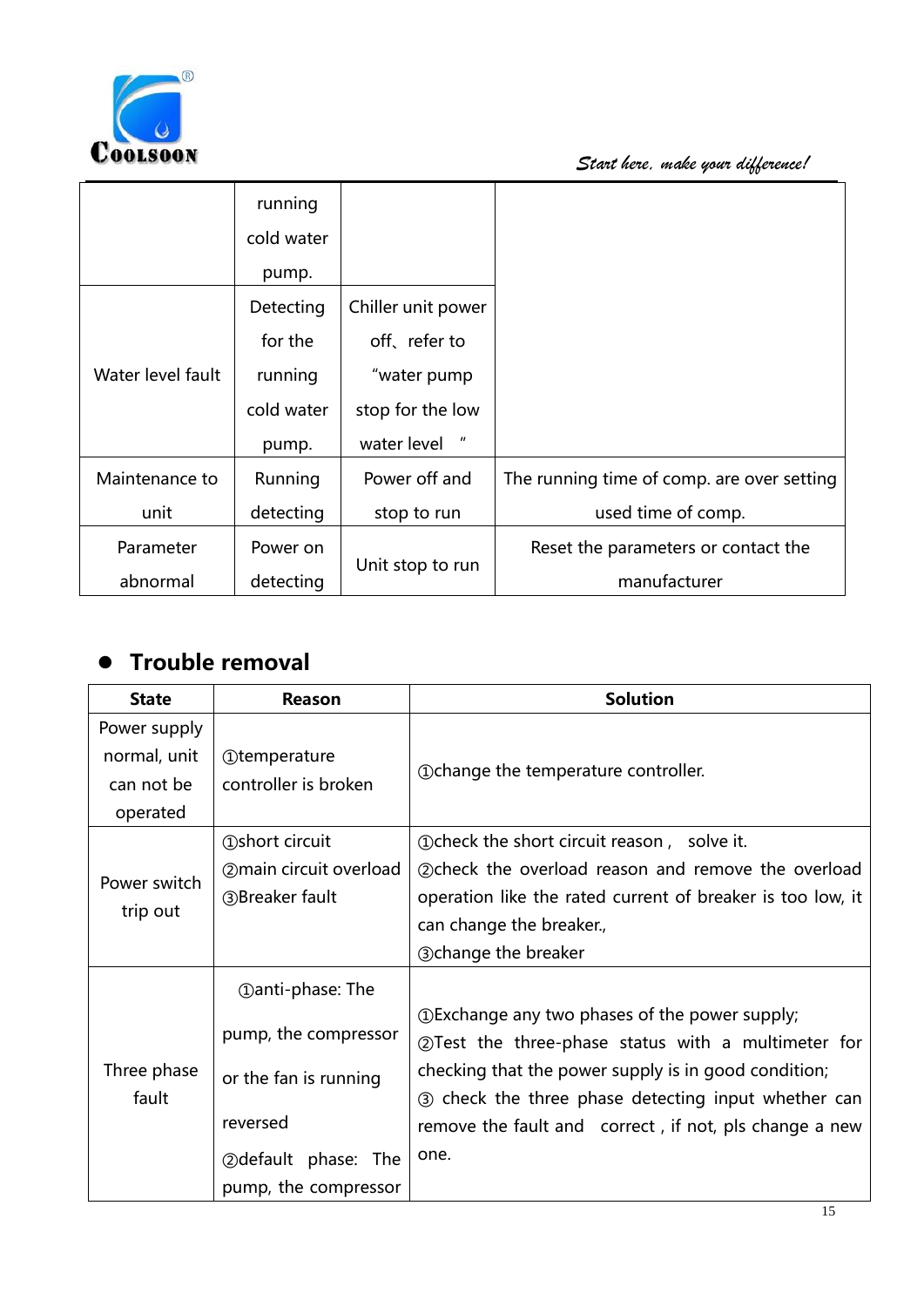

|                   | running    |                                          |                                            |
|-------------------|------------|------------------------------------------|--------------------------------------------|
|                   | cold water |                                          |                                            |
|                   | pump.      |                                          |                                            |
|                   | Detecting  | Chiller unit power                       |                                            |
|                   | for the    | off, refer to                            |                                            |
| Water level fault | running    | "water pump                              |                                            |
|                   | cold water | stop for the low                         |                                            |
|                   | pump.      | $\boldsymbol{\mathsf{u}}$<br>water level |                                            |
| Maintenance to    | Running    | Power off and                            | The running time of comp. are over setting |
| unit              | detecting  | stop to run                              | used time of comp.                         |
| Parameter         | Power on   |                                          | Reset the parameters or contact the        |
| abnormal          | detecting  | Unit stop to run                         | manufacturer                               |

## **Trouble removal**

| <b>State</b>                                           | Reason                                                                                                                                     | <b>Solution</b>                                                                                                                                                                                                                                                                          |
|--------------------------------------------------------|--------------------------------------------------------------------------------------------------------------------------------------------|------------------------------------------------------------------------------------------------------------------------------------------------------------------------------------------------------------------------------------------------------------------------------------------|
| Power supply<br>normal, unit<br>can not be<br>operated | <b>1</b> Otemperature<br>controller is broken                                                                                              | 10 Ochange the temperature controller.                                                                                                                                                                                                                                                   |
| Power switch<br>trip out                               | <b>1</b> Oshort circuit<br>(2) main circuit overload<br>3Breaker fault                                                                     | 1. 15 Ocheck the short circuit reason, solve it.<br>2) check the overload reason and remove the overload<br>operation like the rated current of breaker is too low, it<br>can change the breaker.,<br><b>3change the breaker</b>                                                         |
| Three phase<br>fault                                   | <b>1</b> (1) anti-phase: The<br>pump, the compressor<br>or the fan is running<br>reversed<br>2 Odefault phase: The<br>pump, the compressor | 1) DExchange any two phases of the power supply;<br>2 Test the three-phase status with a multimeter for<br>checking that the power supply is in good condition;<br>3 check the three phase detecting input whether can<br>remove the fault and correct, if not, pls change a new<br>one. |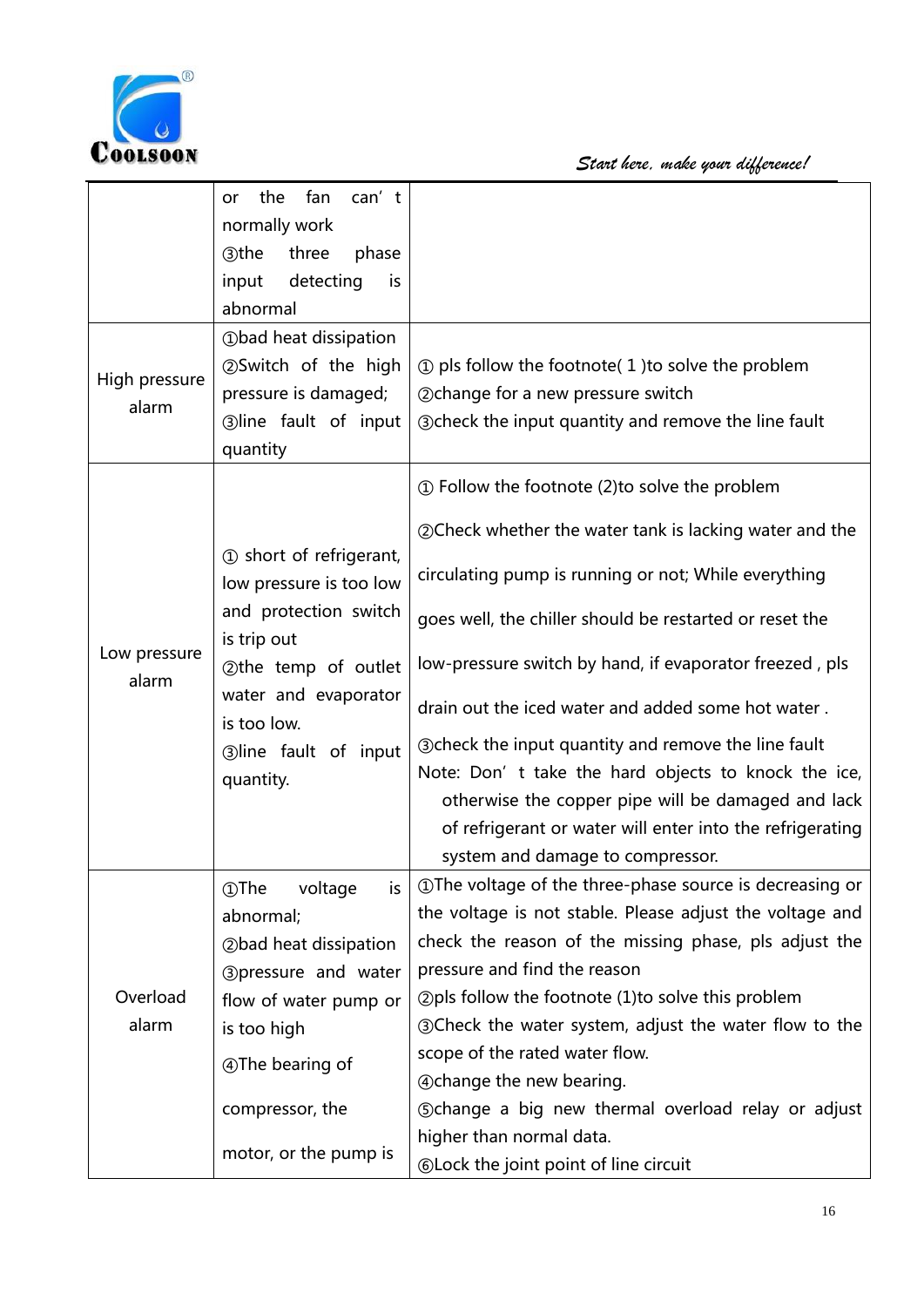

COOLSOON Start here, make your difference!

|                       | fan<br>can't<br>the<br>or                          |                                                                 |
|-----------------------|----------------------------------------------------|-----------------------------------------------------------------|
|                       | normally work                                      |                                                                 |
|                       | three<br>phase<br><b>3the</b>                      |                                                                 |
|                       | detecting<br>input<br>is                           |                                                                 |
|                       | abnormal                                           |                                                                 |
|                       | <b>1</b> Obad heat dissipation                     |                                                                 |
|                       | 2Switch of the high                                | $\odot$ pls follow the footnote(1) to solve the problem         |
| High pressure         | pressure is damaged;                               | 2 Ochange for a new pressure switch                             |
| alarm                 | 3)line fault of input                              | <b>3</b> Ocheck the input quantity and remove the line fault    |
|                       | quantity                                           |                                                                 |
| Low pressure<br>alarm |                                                    | 1 Follow the footnote (2) to solve the problem                  |
|                       |                                                    | <b>20 Check whether the water tank is lacking water and the</b> |
|                       | 1 short of refrigerant,<br>low pressure is too low | circulating pump is running or not; While everything            |
|                       | and protection switch<br>is trip out               | goes well, the chiller should be restarted or reset the         |
|                       | 2the temp of outlet                                | low-pressure switch by hand, if evaporator freezed, pls         |
|                       | water and evaporator<br>is too low.                | drain out the iced water and added some hot water.              |
|                       | 3line fault of input                               | <b>3</b> Ocheck the input quantity and remove the line fault    |
|                       | quantity.                                          | Note: Don't take the hard objects to knock the ice,             |
|                       |                                                    | otherwise the copper pipe will be damaged and lack              |
|                       |                                                    | of refrigerant or water will enter into the refrigerating       |
|                       |                                                    | system and damage to compressor.                                |
| Overload<br>alarm     | ①The<br>voltage<br>is.                             | 10 The voltage of the three-phase source is decreasing or       |
|                       | abnormal;                                          | the voltage is not stable. Please adjust the voltage and        |
|                       | 2bad heat dissipation                              | check the reason of the missing phase, pls adjust the           |
|                       | <b>3</b> pressure and water                        | pressure and find the reason                                    |
|                       | flow of water pump or                              | $Q$ pls follow the footnote (1) to solve this problem           |
|                       | is too high                                        | <b>30</b> Check the water system, adjust the water flow to the  |
|                       | 4) The bearing of                                  | scope of the rated water flow.                                  |
|                       |                                                    | <b>A</b> change the new bearing.                                |
|                       | compressor, the                                    | <b>Schange a big new thermal overload relay or adjust</b>       |
|                       | motor, or the pump is                              | higher than normal data.                                        |
|                       |                                                    | © Lock the joint point of line circuit                          |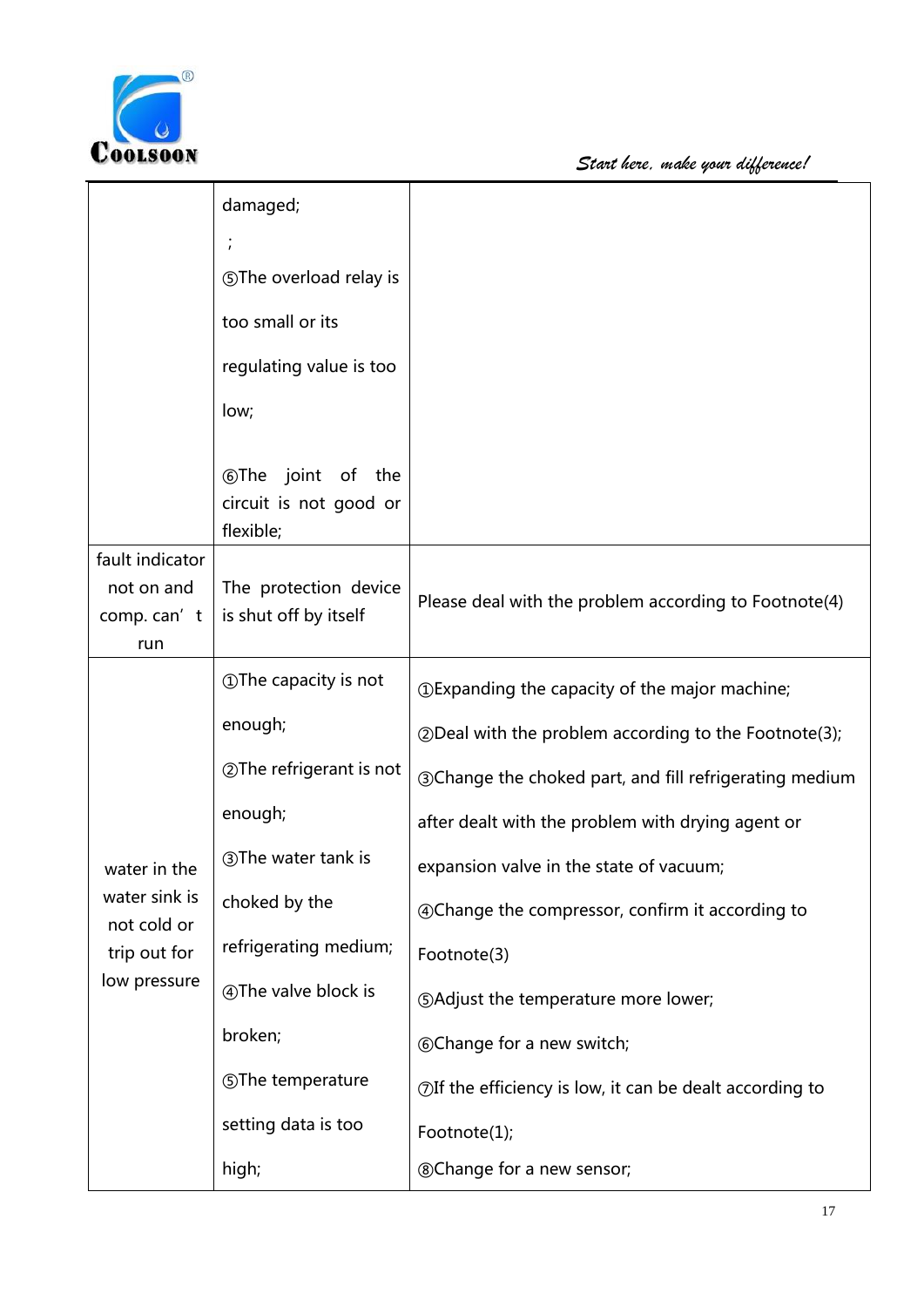

|                                                              | damaged;                                                          |                                                                  |
|--------------------------------------------------------------|-------------------------------------------------------------------|------------------------------------------------------------------|
|                                                              | $\cdot$                                                           |                                                                  |
|                                                              | <b>SThe overload relay is</b>                                     |                                                                  |
|                                                              | too small or its                                                  |                                                                  |
|                                                              | regulating value is too                                           |                                                                  |
|                                                              | low;                                                              |                                                                  |
|                                                              | <b>The</b> joint<br>of the<br>circuit is not good or<br>flexible; |                                                                  |
| fault indicator<br>not on and<br>comp. can't<br>run          | The protection device<br>is shut off by itself                    | Please deal with the problem according to Footnote(4)            |
|                                                              | <b>1</b> The capacity is not                                      | <b><i>OExpanding the capacity of the major machine;</i></b>      |
|                                                              | enough;                                                           | 2 Deal with the problem according to the Footnote(3);            |
|                                                              | <b>2 The refrigerant is not</b>                                   | <b>30 Change the choked part, and fill refrigerating medium</b>  |
|                                                              | enough;                                                           | after dealt with the problem with drying agent or                |
| water in the                                                 | 3) The water tank is                                              | expansion valve in the state of vacuum;                          |
| water sink is<br>not cold or<br>trip out for<br>low pressure | choked by the                                                     | 4 Change the compressor, confirm it according to                 |
|                                                              | refrigerating medium;                                             | Footnote(3)                                                      |
|                                                              | 4) The valve block is                                             | <b>SAdjust the temperature more lower;</b>                       |
|                                                              | broken;                                                           | <b>6Change for a new switch;</b>                                 |
|                                                              | <b>SThe temperature</b>                                           | $\oslash$ If the efficiency is low, it can be dealt according to |
|                                                              | setting data is too                                               | Footnote(1);                                                     |
|                                                              | high;                                                             | <b>®Change for a new sensor;</b>                                 |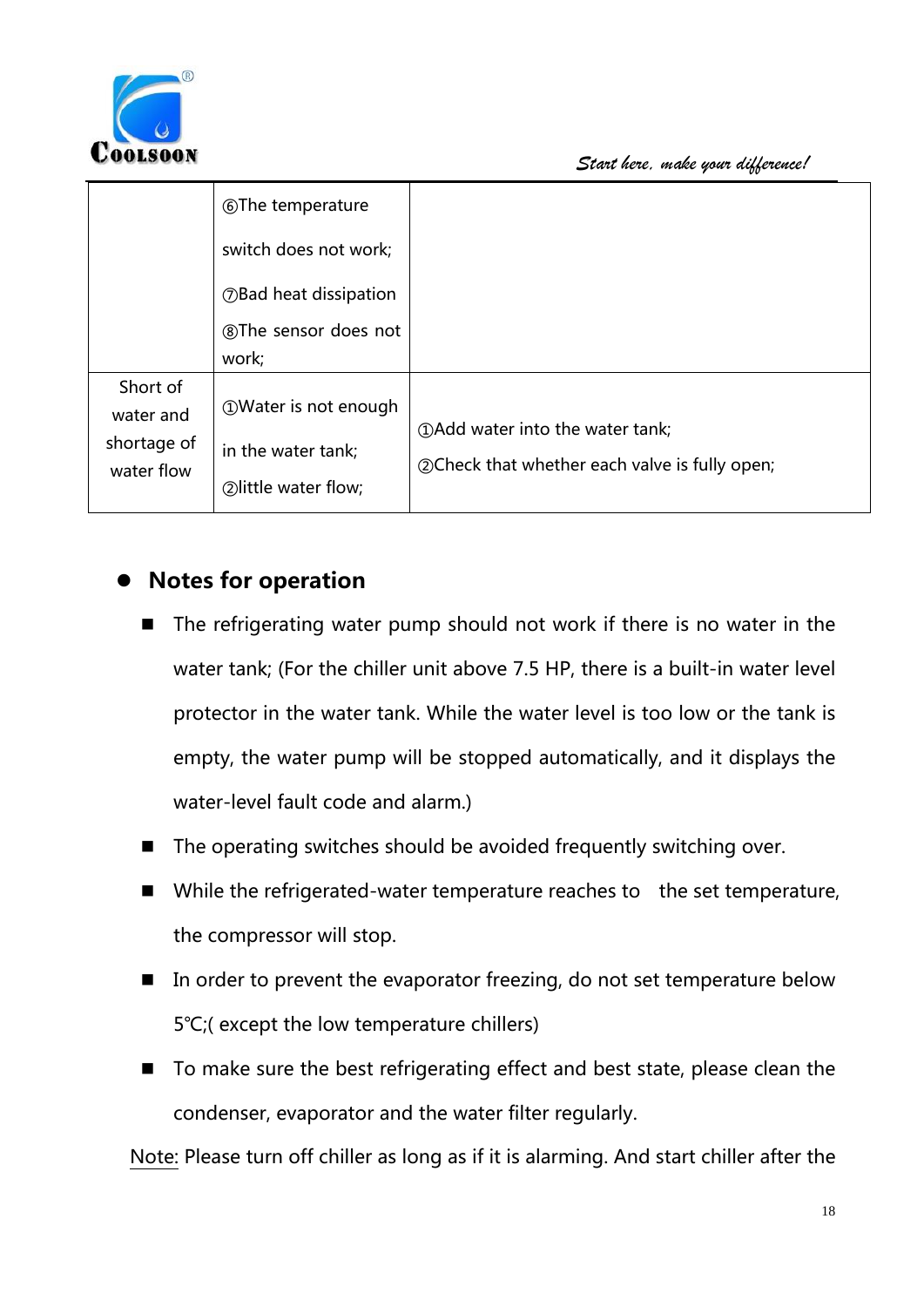

|             | <b>The temperature</b>              |                                                 |
|-------------|-------------------------------------|-------------------------------------------------|
|             | switch does not work;               |                                                 |
|             | <b><i>OBad heat dissipation</i></b> |                                                 |
|             | ®The sensor does not                |                                                 |
|             | work;                               |                                                 |
| Short of    |                                     |                                                 |
| water and   | <b>10 Water is not enough</b>       |                                                 |
| shortage of | in the water tank;                  | 10 (1) Add water into the water tank;           |
| water flow  |                                     | 20 Check that whether each valve is fully open; |
|             | 2) little water flow;               |                                                 |

## **Notes for operation**

- The refrigerating water pump should not work if there is no water in the water tank; (For the chiller unit above 7.5 HP, there is a built-in water level protector in the water tank. While the water level is too low or the tank is empty, the water pump will be stopped automatically, and it displays the water-level fault code and alarm.)
- $\blacksquare$  The operating switches should be avoided frequently switching over.
- $\blacksquare$  While the refrigerated-water temperature reaches to the set temperature, the compressor will stop.
- In order to prevent the evaporator freezing, do not set temperature below 5 ° C; (except the low temperature chillers)
- $\blacksquare$  To make sure the best refrigerating effect and best state, please clean the condenser, evaporator and the water filter regularly.

Note: Please turn off chiller as long as if it is alarming. And start chiller after the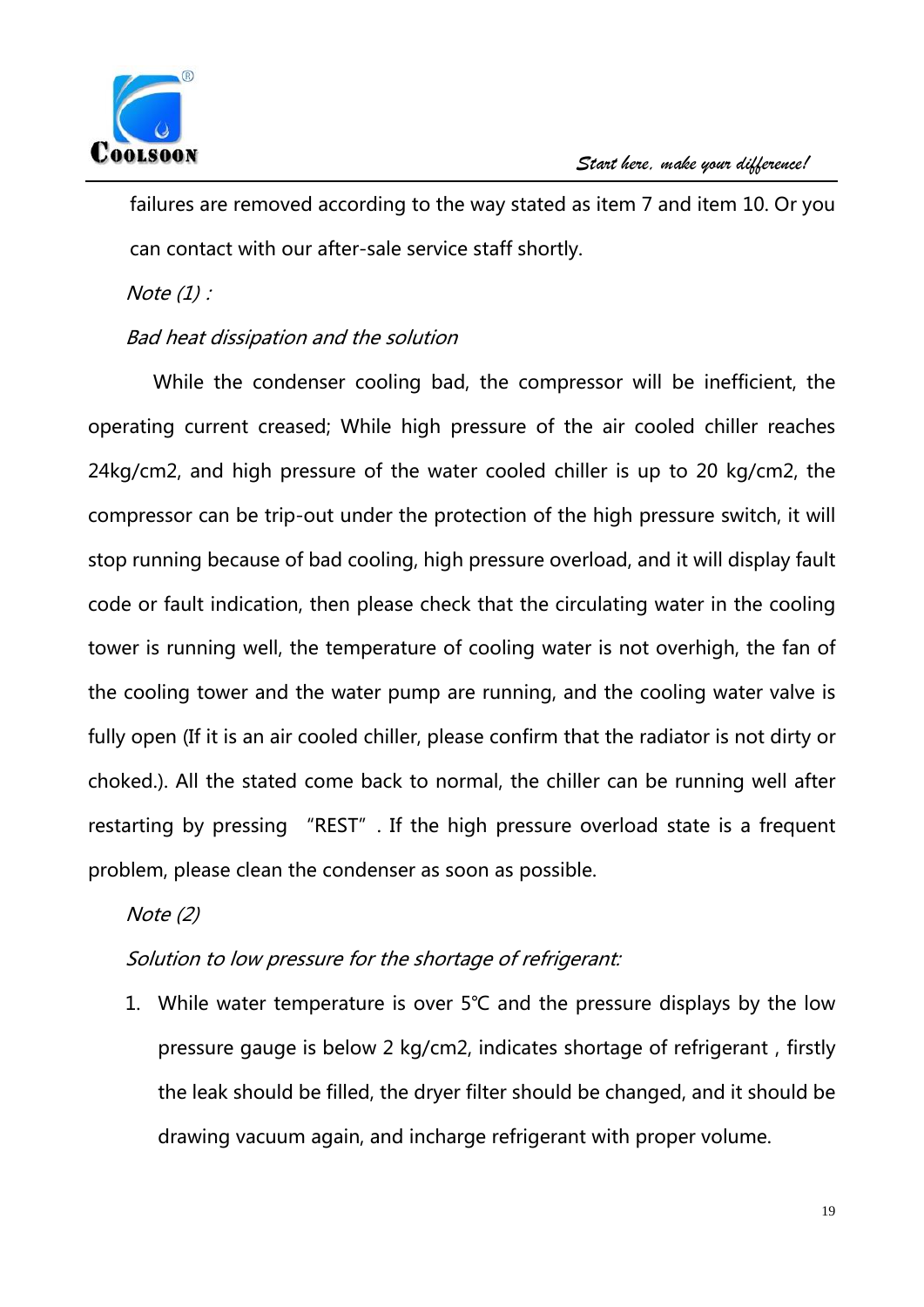

failures are removed according to the way stated as item 7 and item 10. Or you can contact with our after-sale service staff shortly.

Note  $(1)$  :

#### Bad heat dissipation and the solution

While the condenser cooling bad, the compressor will be inefficient, the operating current creased; While high pressure of the air cooled chiller reaches 24kg/cm2, and high pressure of the water cooled chiller is up to 20 kg/cm2, the compressor can be trip-out under the protection of the high pressure switch, it will stop running because of bad cooling, high pressure overload, and it will display fault code or fault indication, then please check that the circulating water in the cooling tower is running well, the temperature of cooling water is not overhigh, the fan of the cooling tower and the water pump are running, and the cooling water valve is fully open (If it is an air cooled chiller, please confirm that the radiator is not dirty or choked.). All the stated come back to normal, the chiller can be running well after restarting by pressing "REST". If the high pressure overload state is a frequent problem, please clean the condenser as soon as possible.

Note  $(2)$ 

### Solution to low pressure for the shortage of refrigerant:

1. While water temperature is over 5℃ and the pressure displays by the low pressure gauge is below 2 kg/cm2, indicates shortage of refrigerant, firstly the leak should be filled, the dryer filter should be changed, and it should be drawing vacuum again, and incharge refrigerant with proper volume.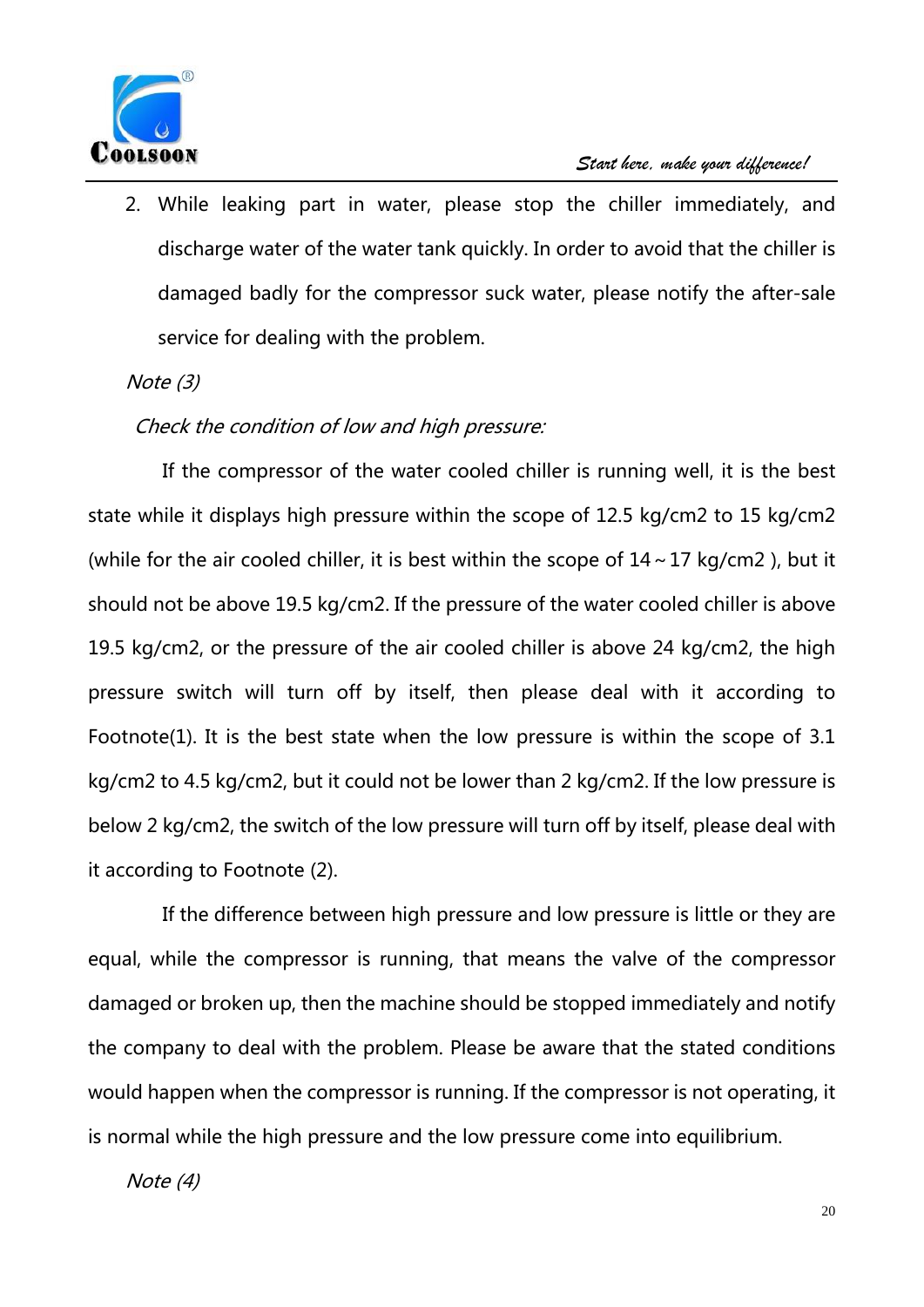

2. While leaking part in water, please stop the chiller immediately, and discharge water of the water tank quickly. In order to avoid that the chiller is damaged badly for the compressor suck water, please notify the after-sale service for dealing with the problem.

#### $Note (3)$

### Check the condition of low and high pressure:

If the compressor of the water cooled chiller is running well, it is the best state while it displays high pressure within the scope of 12.5 kg/cm2 to 15 kg/cm2 (while for the air cooled chiller, it is best within the scope of  $14 \sim 17$  kg/cm2), but it should not be above 19.5 kg/cm2. If the pressure of the water cooled chiller is above 19.5 kg/cm2, or the pressure of the air cooled chiller is above 24 kg/cm2, the high pressure switch will turn off by itself, then please deal with it according to Footnote(1). It is the best state when the low pressure is within the scope of 3.1 kg/cm2 to 4.5 kg/cm2, but it could not be lower than 2 kg/cm2. If the low pressure is below 2 kg/cm2, the switch of the low pressure will turn off by itself, please deal with it according to Footnote (2).

If the difference between high pressure and low pressure is little or they are equal, while the compressor is running, that means the valve of the compressor damaged or broken up, then the machine should be stopped immediately and notify the company to deal with the problem. Please be aware that the stated conditions would happen when the compressor is running. If the compressor is not operating, it is normal while the high pressure and the low pressure come into equilibrium.

Note  $(4)$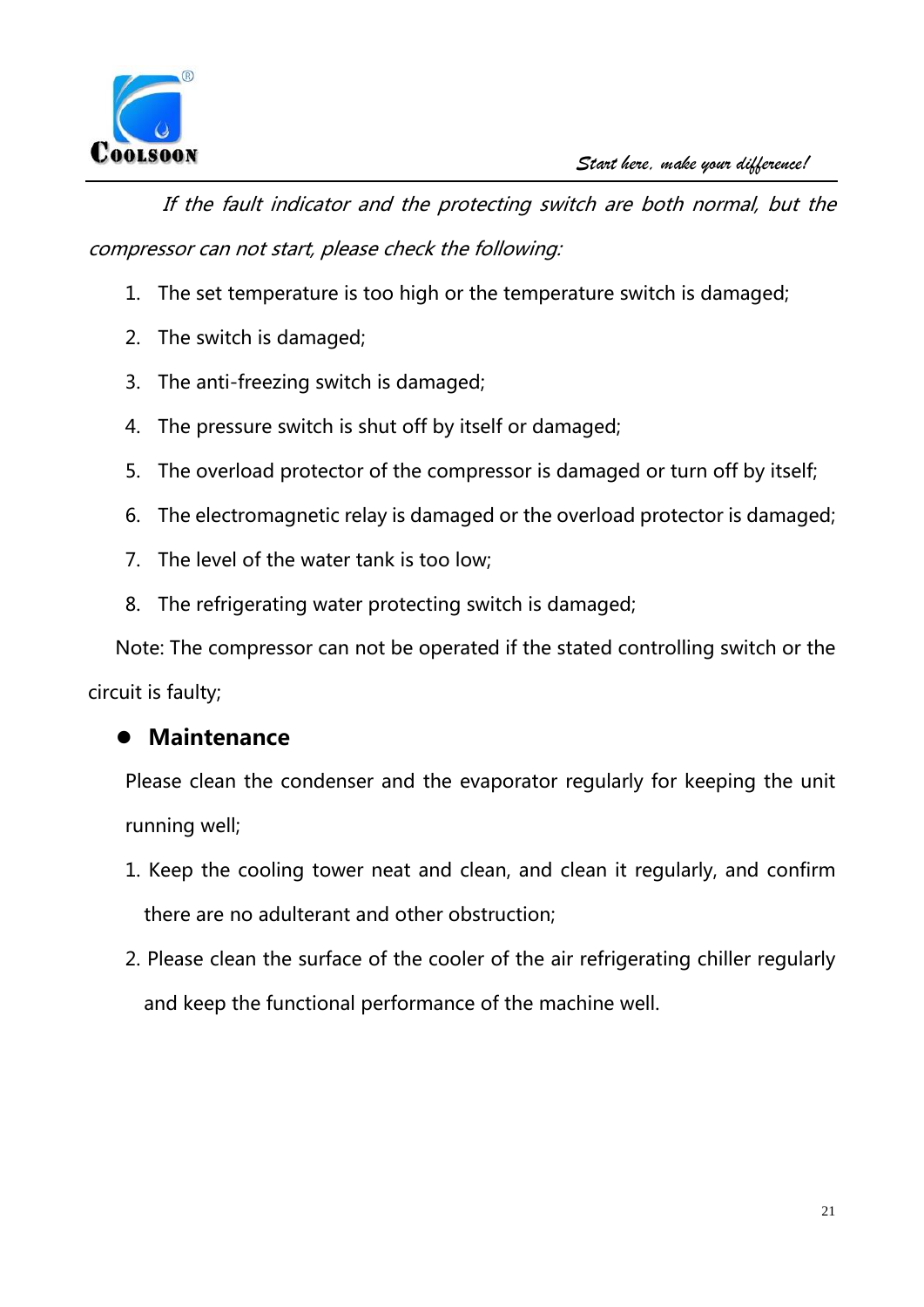

If the fault indicator and the protecting switch are both normal, but the compressor can not start, please check the following:

- 1. The set temperature is too high or the temperature switch is damaged;
- 2. The switch is damaged;
- 3. The anti-freezing switch is damaged;
- 4. The pressure switch is shut off by itself or damaged;
- 5. The overload protector of the compressor is damaged or turn off by itself;
- 6. The electromagnetic relay is damaged or the overload protector is damaged;
- 7. The level of the water tank is too low;
- 8. The refrigerating water protecting switch is damaged;

Note: The compressor can not be operated if the stated controlling switch or the circuit is faulty;

### **Maintenance**

Please clean the condenser and the evaporator regularly for keeping the unit running well;

- 1. Keep the cooling tower neat and clean, and clean it regularly, and confirm there are no adulterant and other obstruction;
- 2. Please clean the surface of the cooler of the air refrigerating chiller regularly and keep the functional performance of the machine well.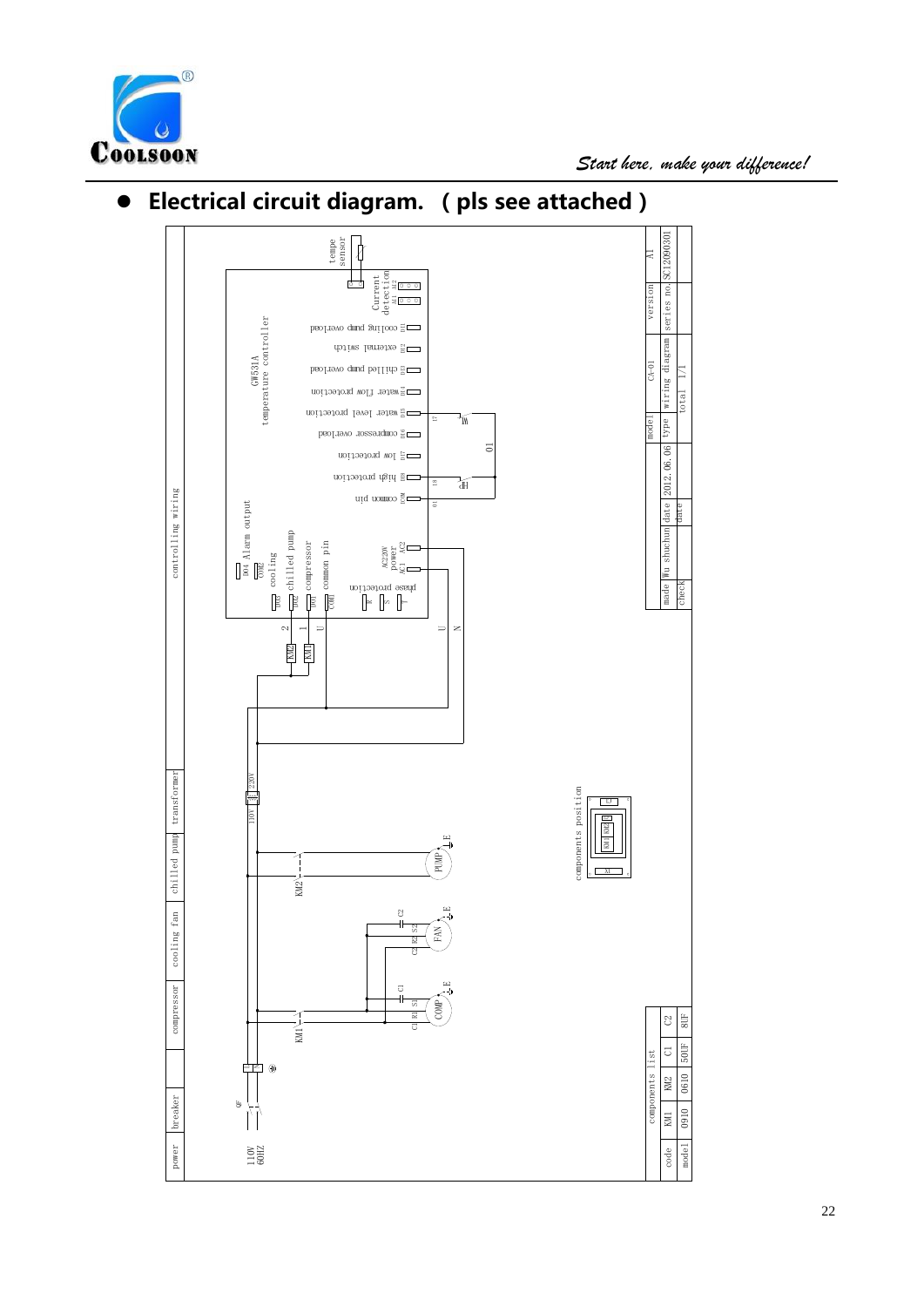



## **Electrical circuit diagram. (pls see attached)**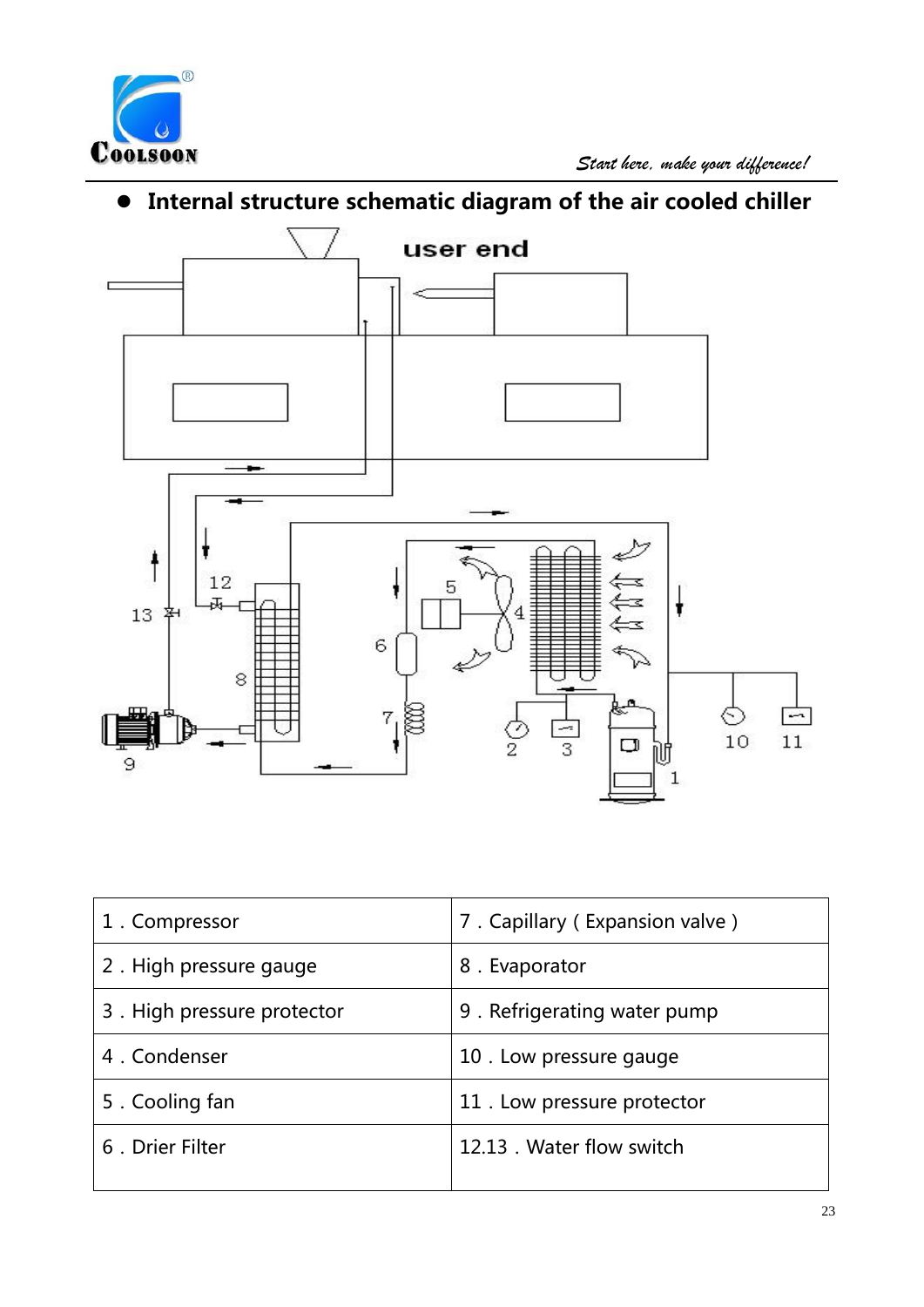

# **Internal structure schematic diagram of the air cooled chiller**



| 1. Compressor              | 7. Capillary (Expansion valve) |
|----------------------------|--------------------------------|
| 2. High pressure gauge     | 8. Evaporator                  |
| 3. High pressure protector | 9. Refrigerating water pump    |
| 4. Condenser               | 10. Low pressure gauge         |
| 5. Cooling fan             | 11. Low pressure protector     |
| 6. Drier Filter            | 12.13 . Water flow switch      |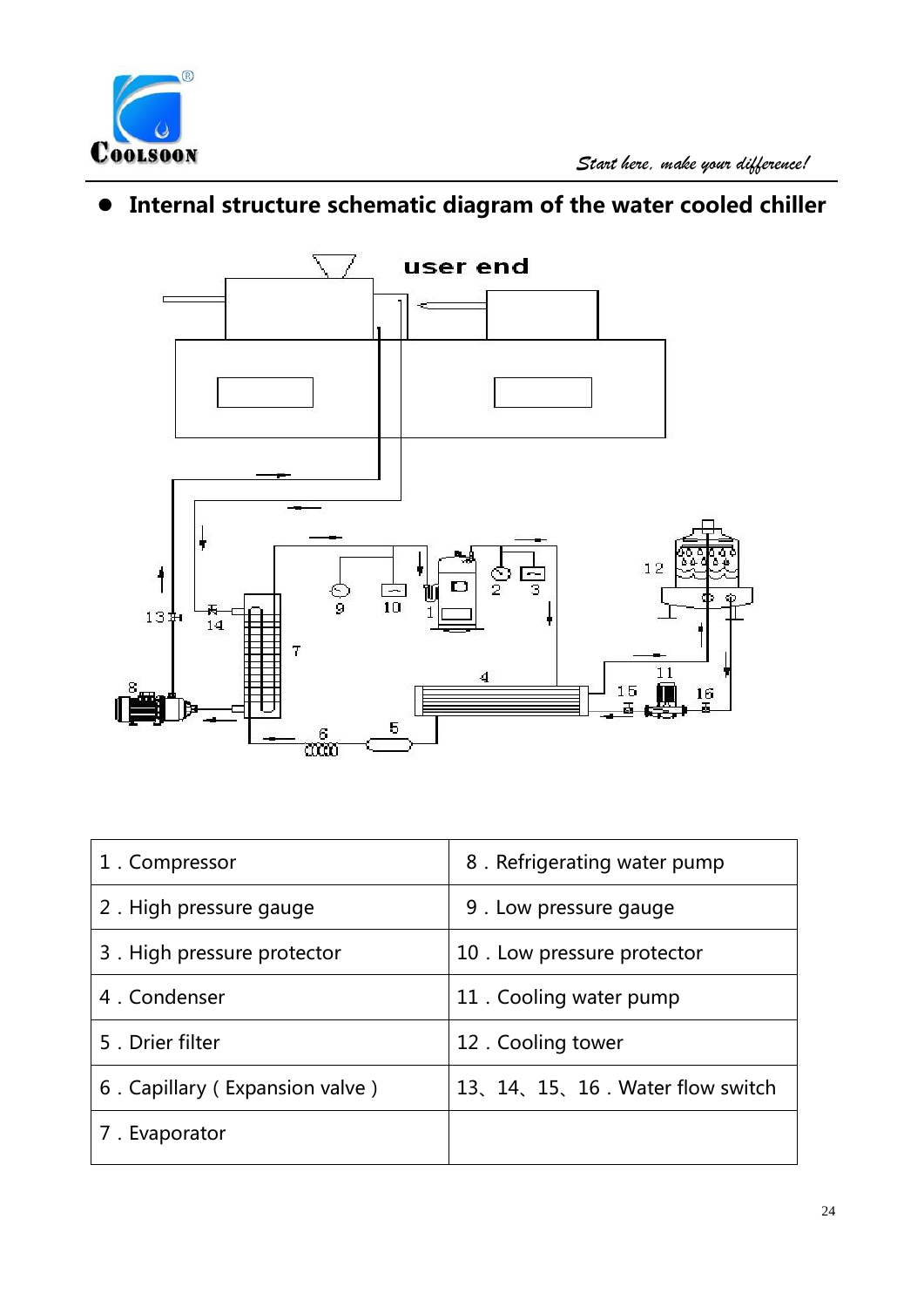

# **Internal structure schematic diagram of the water cooled chiller**



| 1. Compressor                  | 8. Refrigerating water pump       |
|--------------------------------|-----------------------------------|
| 2. High pressure gauge         | 9. Low pressure gauge             |
| 3. High pressure protector     | 10. Low pressure protector        |
| 4. Condenser                   | 11. Cooling water pump            |
| 5. Drier filter                | 12. Cooling tower                 |
| 6. Capillary (Expansion valve) | 13, 14, 15, 16. Water flow switch |
| 7. Evaporator                  |                                   |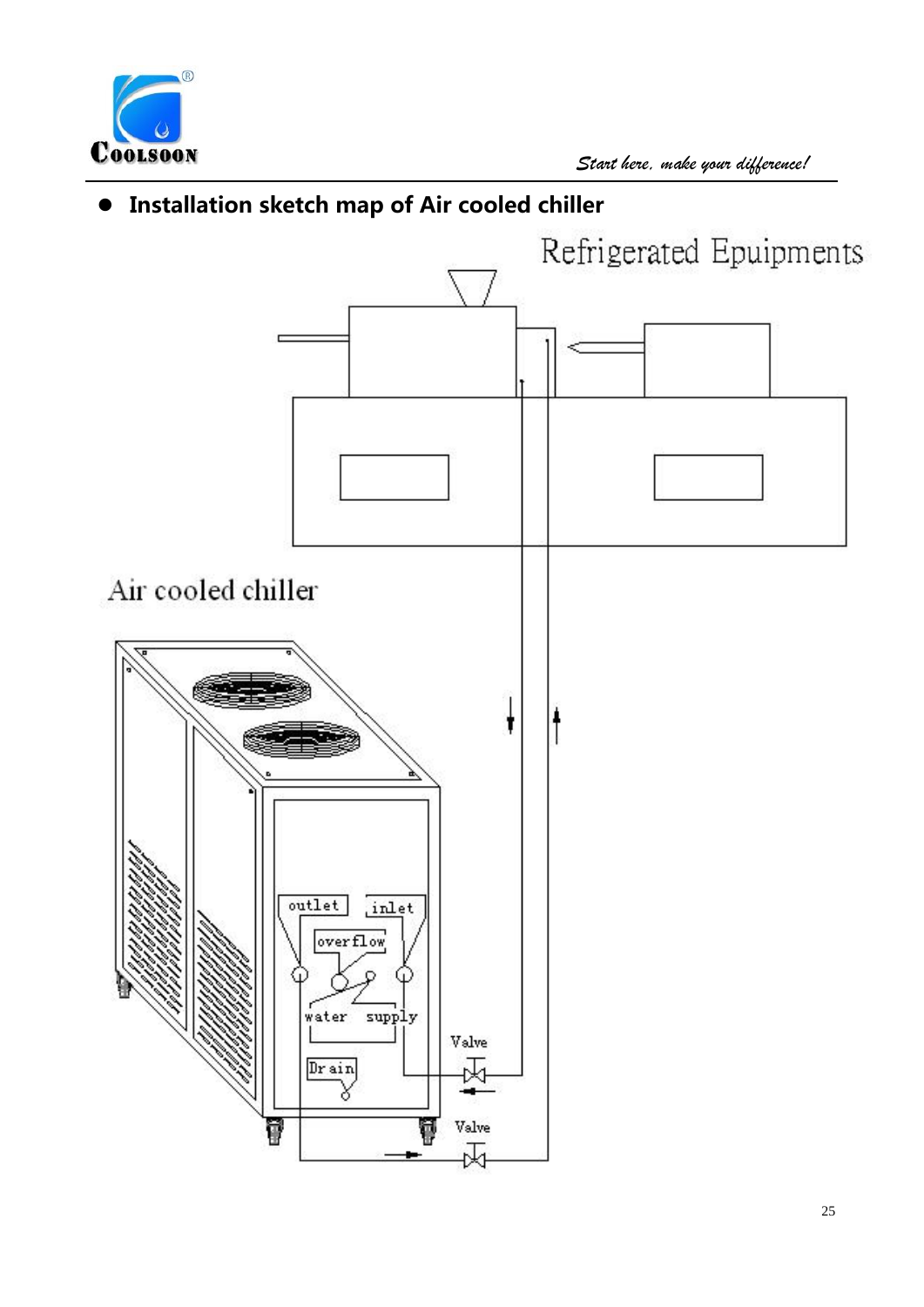

## **Installation sketch map of Air cooled chiller**

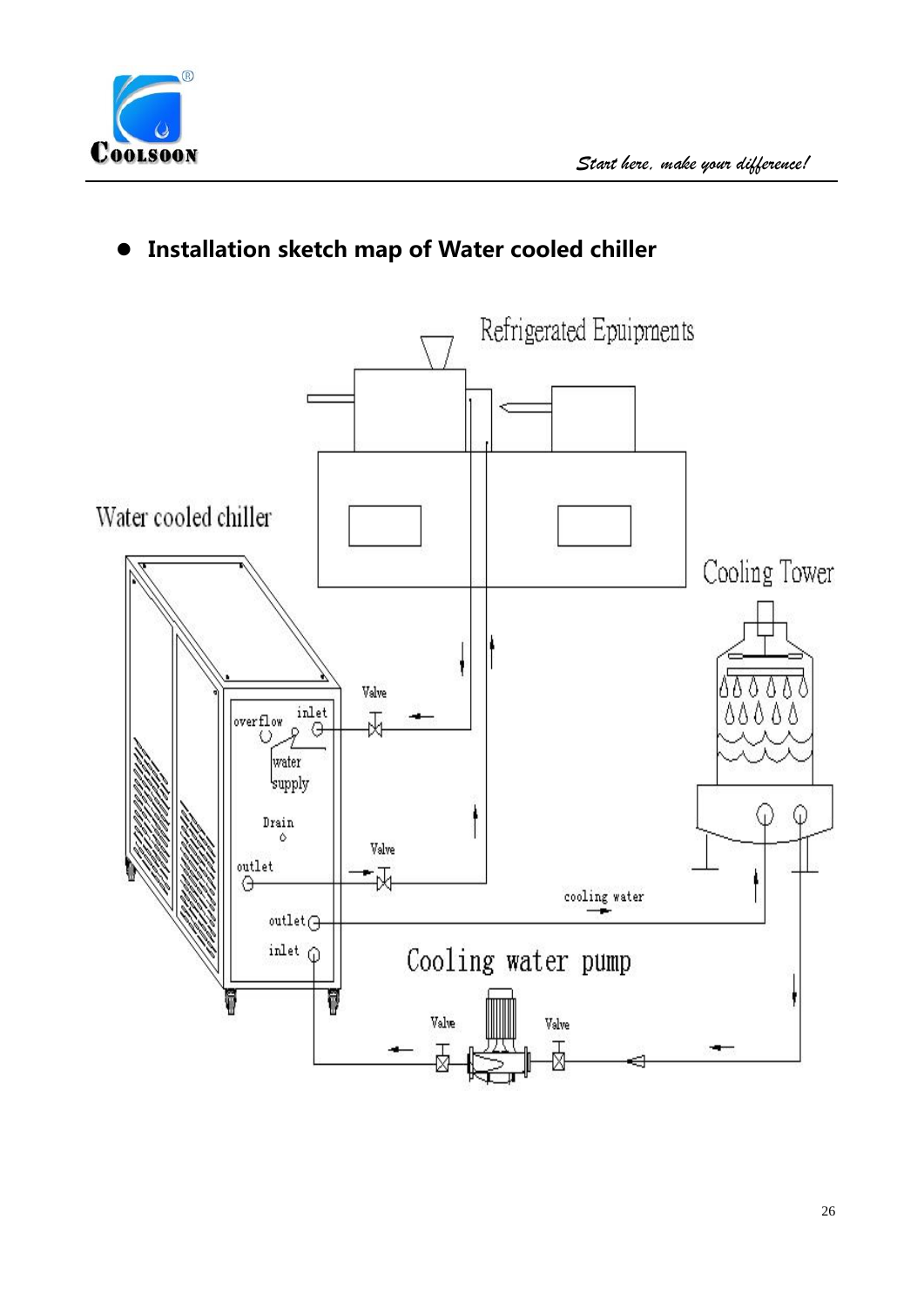## **Installation sketch map of Water cooled chiller**